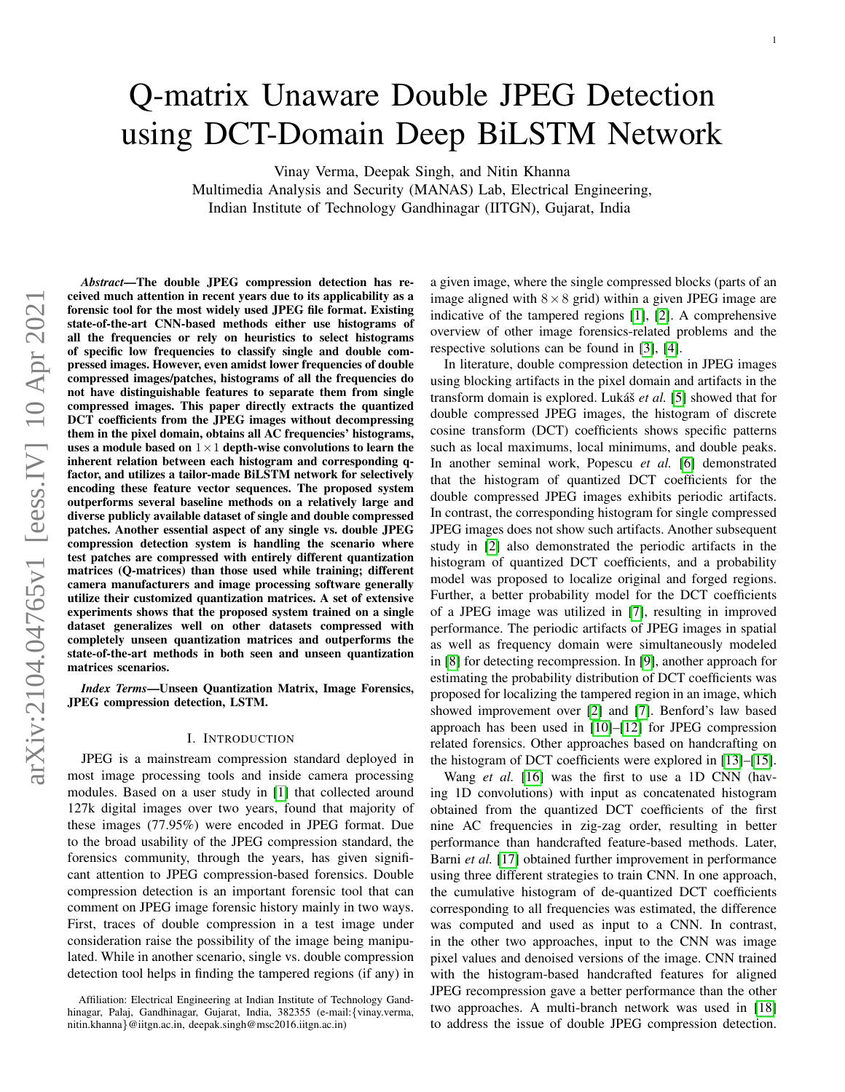# Q-matrix Unaware Double JPEG Detection using DCT-Domain Deep BiLSTM Network

Vinay Verma, Deepak Singh, and Nitin Khanna

Multimedia Analysis and Security (MANAS) Lab, Electrical Engineering, Indian Institute of Technology Gandhinagar (IITGN), Gujarat, India

*Abstract*—The double JPEG compression detection has received much attention in recent years due to its applicability as a forensic tool for the most widely used JPEG file format. Existing state-of-the-art CNN-based methods either use histograms of all the frequencies or rely on heuristics to select histograms of specific low frequencies to classify single and double compressed images. However, even amidst lower frequencies of double compressed images/patches, histograms of all the frequencies do not have distinguishable features to separate them from single compressed images. This paper directly extracts the quantized DCT coefficients from the JPEG images without decompressing them in the pixel domain, obtains all AC frequencies' histograms, uses a module based on  $1 \times 1$  depth-wise convolutions to learn the inherent relation between each histogram and corresponding qfactor, and utilizes a tailor-made BiLSTM network for selectively encoding these feature vector sequences. The proposed system outperforms several baseline methods on a relatively large and diverse publicly available dataset of single and double compressed patches. Another essential aspect of any single vs. double JPEG compression detection system is handling the scenario where test patches are compressed with entirely different quantization matrices (Q-matrices) than those used while training; different camera manufacturers and image processing software generally utilize their customized quantization matrices. A set of extensive experiments shows that the proposed system trained on a single dataset generalizes well on other datasets compressed with completely unseen quantization matrices and outperforms the state-of-the-art methods in both seen and unseen quantization matrices scenarios.

*Index Terms*—Unseen Quantization Matrix, Image Forensics, JPEG compression detection, LSTM.

#### I. INTRODUCTION

JPEG is a mainstream compression standard deployed in most image processing tools and inside camera processing modules. Based on a user study in [\[1\]](#page-10-0) that collected around 127k digital images over two years, found that majority of these images (77.95%) were encoded in JPEG format. Due to the broad usability of the JPEG compression standard, the forensics community, through the years, has given significant attention to JPEG compression-based forensics. Double compression detection is an important forensic tool that can comment on JPEG image forensic history mainly in two ways. First, traces of double compression in a test image under consideration raise the possibility of the image being manipulated. While in another scenario, single vs. double compression detection tool helps in finding the tampered regions (if any) in a given image, where the single compressed blocks (parts of an image aligned with  $8 \times 8$  grid) within a given JPEG image are indicative of the tampered regions [\[1\]](#page-10-0), [\[2\]](#page-10-1). A comprehensive overview of other image forensics-related problems and the respective solutions can be found in [\[3\]](#page-10-2), [\[4\]](#page-10-3).

In literature, double compression detection in JPEG images using blocking artifacts in the pixel domain and artifacts in the transform domain is explored. Lukáš *et al.* [\[5\]](#page-10-4) showed that for double compressed JPEG images, the histogram of discrete cosine transform (DCT) coefficients shows specific patterns such as local maximums, local minimums, and double peaks. In another seminal work, Popescu *et al.* [\[6\]](#page-10-5) demonstrated that the histogram of quantized DCT coefficients for the double compressed JPEG images exhibits periodic artifacts. In contrast, the corresponding histogram for single compressed JPEG images does not show such artifacts. Another subsequent study in [\[2\]](#page-10-1) also demonstrated the periodic artifacts in the histogram of quantized DCT coefficients, and a probability model was proposed to localize original and forged regions. Further, a better probability model for the DCT coefficients of a JPEG image was utilized in [\[7\]](#page-10-6), resulting in improved performance. The periodic artifacts of JPEG images in spatial as well as frequency domain were simultaneously modeled in [\[8\]](#page-10-7) for detecting recompression. In [\[9\]](#page-10-8), another approach for estimating the probability distribution of DCT coefficients was proposed for localizing the tampered region in an image, which showed improvement over [\[2\]](#page-10-1) and [\[7\]](#page-10-6). Benford's law based approach has been used in [\[10\]](#page-10-9)–[\[12\]](#page-10-10) for JPEG compression related forensics. Other approaches based on handcrafting on the histogram of DCT coefficients were explored in [\[13\]](#page-10-11)–[\[15\]](#page-10-12).

Wang *et al.* [\[16\]](#page-11-0) was the first to use a 1D CNN (having 1D convolutions) with input as concatenated histogram obtained from the quantized DCT coefficients of the first nine AC frequencies in zig-zag order, resulting in better performance than handcrafted feature-based methods. Later, Barni *et al.* [\[17\]](#page-11-1) obtained further improvement in performance using three different strategies to train CNN. In one approach, the cumulative histogram of de-quantized DCT coefficients corresponding to all frequencies was estimated, the difference was computed and used as input to a CNN. In contrast, in the other two approaches, input to the CNN was image pixel values and denoised versions of the image. CNN trained with the histogram-based handcrafted features for aligned JPEG recompression gave a better performance than the other two approaches. A multi-branch network was used in [\[18\]](#page-11-2) to address the issue of double JPEG compression detection.

Affiliation: Electrical Engineering at Indian Institute of Technology Gandhinagar, Palaj, Gandhinagar, Gujarat, India, 382355 (e-mail:{vinay.verma, nitin.khanna}@iitgn.ac.in, deepak.singh@msc2016.iitgn.ac.in)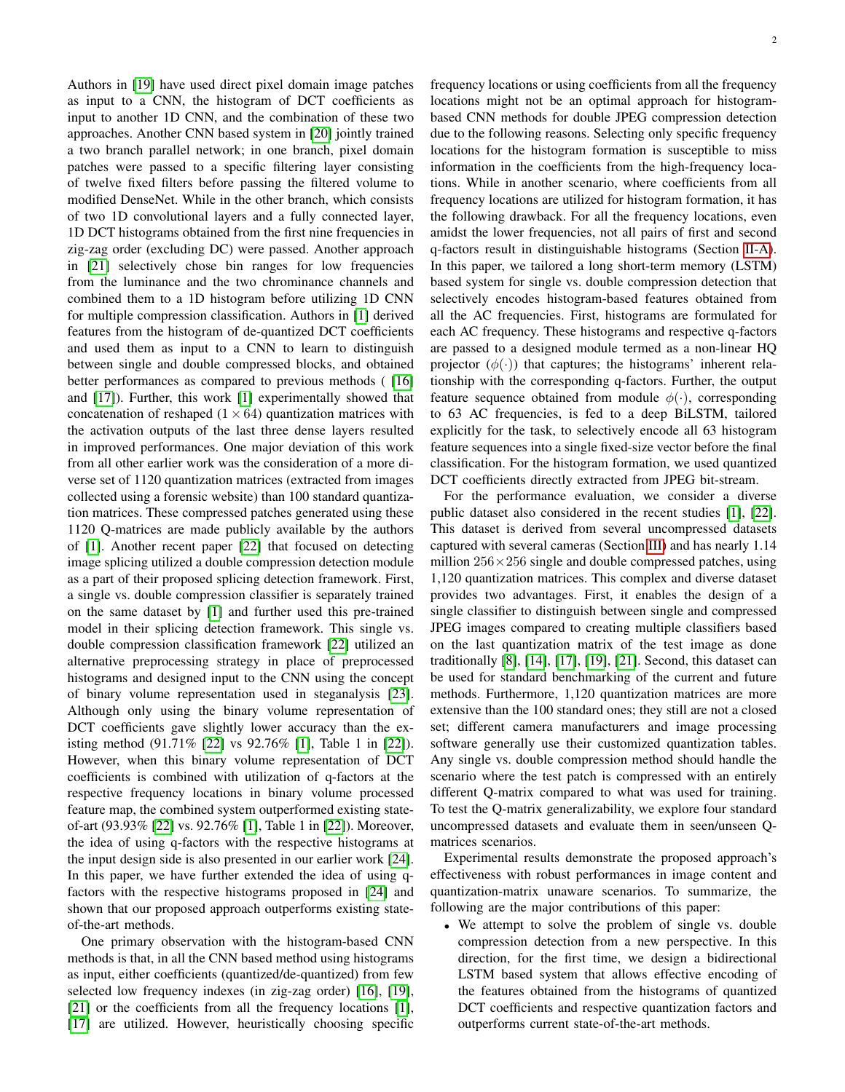Authors in [\[19\]](#page-11-3) have used direct pixel domain image patches as input to a CNN, the histogram of DCT coefficients as input to another 1D CNN, and the combination of these two approaches. Another CNN based system in [\[20\]](#page-11-4) jointly trained a two branch parallel network; in one branch, pixel domain patches were passed to a specific filtering layer consisting of twelve fixed filters before passing the filtered volume to modified DenseNet. While in the other branch, which consists of two 1D convolutional layers and a fully connected layer, 1D DCT histograms obtained from the first nine frequencies in zig-zag order (excluding DC) were passed. Another approach in [\[21\]](#page-11-5) selectively chose bin ranges for low frequencies from the luminance and the two chrominance channels and combined them to a 1D histogram before utilizing 1D CNN for multiple compression classification. Authors in [\[1\]](#page-10-0) derived features from the histogram of de-quantized DCT coefficients and used them as input to a CNN to learn to distinguish between single and double compressed blocks, and obtained better performances as compared to previous methods ([\[16\]](#page-11-0)) and [\[17\]](#page-11-1)). Further, this work [\[1\]](#page-10-0) experimentally showed that concatenation of reshaped  $(1 \times 64)$  quantization matrices with the activation outputs of the last three dense layers resulted in improved performances. One major deviation of this work from all other earlier work was the consideration of a more diverse set of 1120 quantization matrices (extracted from images collected using a forensic website) than 100 standard quantization matrices. These compressed patches generated using these 1120 Q-matrices are made publicly available by the authors of [\[1\]](#page-10-0). Another recent paper [\[22\]](#page-11-6) that focused on detecting image splicing utilized a double compression detection module as a part of their proposed splicing detection framework. First, a single vs. double compression classifier is separately trained on the same dataset by [\[1\]](#page-10-0) and further used this pre-trained model in their splicing detection framework. This single vs. double compression classification framework [\[22\]](#page-11-6) utilized an alternative preprocessing strategy in place of preprocessed histograms and designed input to the CNN using the concept of binary volume representation used in steganalysis [\[23\]](#page-11-7). Although only using the binary volume representation of DCT coefficients gave slightly lower accuracy than the existing method (91.71% [\[22\]](#page-11-6) vs 92.76% [\[1\]](#page-10-0), Table 1 in [\[22\]](#page-11-6)). However, when this binary volume representation of DCT coefficients is combined with utilization of q-factors at the respective frequency locations in binary volume processed feature map, the combined system outperformed existing stateof-art (93.93% [\[22\]](#page-11-6) vs. 92.76% [\[1\]](#page-10-0), Table 1 in [\[22\]](#page-11-6)). Moreover, the idea of using q-factors with the respective histograms at the input design side is also presented in our earlier work [\[24\]](#page-11-8). In this paper, we have further extended the idea of using qfactors with the respective histograms proposed in [\[24\]](#page-11-8) and shown that our proposed approach outperforms existing stateof-the-art methods.

One primary observation with the histogram-based CNN methods is that, in all the CNN based method using histograms as input, either coefficients (quantized/de-quantized) from few selected low frequency indexes (in zig-zag order) [\[16\]](#page-11-0), [\[19\]](#page-11-3), [\[21\]](#page-11-5) or the coefficients from all the frequency locations [\[1\]](#page-10-0), [\[17\]](#page-11-1) are utilized. However, heuristically choosing specific frequency locations or using coefficients from all the frequency locations might not be an optimal approach for histogrambased CNN methods for double JPEG compression detection due to the following reasons. Selecting only specific frequency locations for the histogram formation is susceptible to miss information in the coefficients from the high-frequency locations. While in another scenario, where coefficients from all frequency locations are utilized for histogram formation, it has the following drawback. For all the frequency locations, even amidst the lower frequencies, not all pairs of first and second q-factors result in distinguishable histograms (Section [II-A\)](#page-2-0). In this paper, we tailored a long short-term memory (LSTM) based system for single vs. double compression detection that selectively encodes histogram-based features obtained from all the AC frequencies. First, histograms are formulated for each AC frequency. These histograms and respective q-factors are passed to a designed module termed as a non-linear HQ projector  $(\phi(\cdot))$  that captures; the histograms' inherent relationship with the corresponding q-factors. Further, the output feature sequence obtained from module  $\phi(\cdot)$ , corresponding to 63 AC frequencies, is fed to a deep BiLSTM, tailored explicitly for the task, to selectively encode all 63 histogram feature sequences into a single fixed-size vector before the final classification. For the histogram formation, we used quantized DCT coefficients directly extracted from JPEG bit-stream.

For the performance evaluation, we consider a diverse public dataset also considered in the recent studies [\[1\]](#page-10-0), [\[22\]](#page-11-6). This dataset is derived from several uncompressed datasets captured with several cameras (Section [III\)](#page-6-0) and has nearly 1.14 million  $256 \times 256$  single and double compressed patches, using 1,120 quantization matrices. This complex and diverse dataset provides two advantages. First, it enables the design of a single classifier to distinguish between single and compressed JPEG images compared to creating multiple classifiers based on the last quantization matrix of the test image as done traditionally [\[8\]](#page-10-7), [\[14\]](#page-10-13), [\[17\]](#page-11-1), [\[19\]](#page-11-3), [\[21\]](#page-11-5). Second, this dataset can be used for standard benchmarking of the current and future methods. Furthermore, 1,120 quantization matrices are more extensive than the 100 standard ones; they still are not a closed set; different camera manufacturers and image processing software generally use their customized quantization tables. Any single vs. double compression method should handle the scenario where the test patch is compressed with an entirely different Q-matrix compared to what was used for training. To test the Q-matrix generalizability, we explore four standard uncompressed datasets and evaluate them in seen/unseen Qmatrices scenarios.

Experimental results demonstrate the proposed approach's effectiveness with robust performances in image content and quantization-matrix unaware scenarios. To summarize, the following are the major contributions of this paper:

• We attempt to solve the problem of single vs. double compression detection from a new perspective. In this direction, for the first time, we design a bidirectional LSTM based system that allows effective encoding of the features obtained from the histograms of quantized DCT coefficients and respective quantization factors and outperforms current state-of-the-art methods.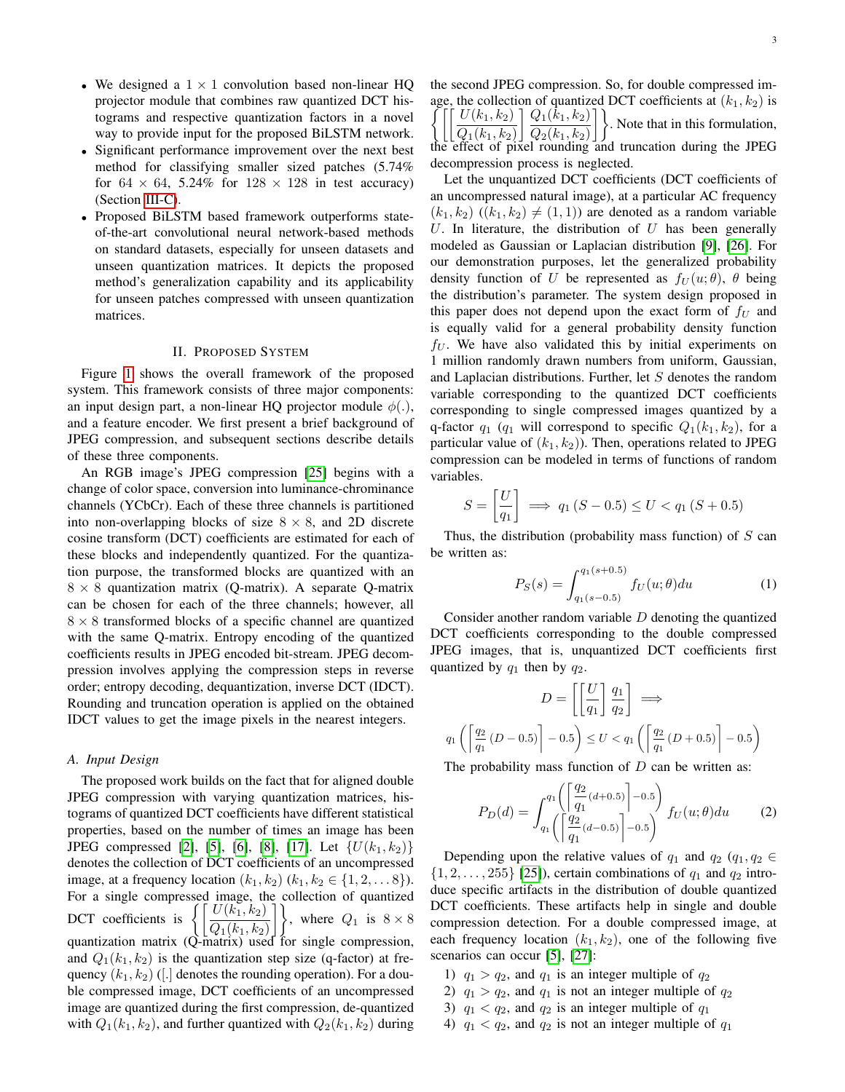- We designed a  $1 \times 1$  convolution based non-linear HQ projector module that combines raw quantized DCT histograms and respective quantization factors in a novel way to provide input for the proposed BiLSTM network.
- Significant performance improvement over the next best method for classifying smaller sized patches (5.74% for  $64 \times 64$ , 5.24% for  $128 \times 128$  in test accuracy) (Section [III-C\)](#page-7-0).
- Proposed BiLSTM based framework outperforms stateof-the-art convolutional neural network-based methods on standard datasets, especially for unseen datasets and unseen quantization matrices. It depicts the proposed method's generalization capability and its applicability for unseen patches compressed with unseen quantization matrices.

## II. PROPOSED SYSTEM

<span id="page-2-3"></span>Figure [1](#page-3-0) shows the overall framework of the proposed system. This framework consists of three major components: an input design part, a non-linear HQ projector module  $\phi(.)$ , and a feature encoder. We first present a brief background of JPEG compression, and subsequent sections describe details of these three components.

An RGB image's JPEG compression [\[25\]](#page-11-9) begins with a change of color space, conversion into luminance-chrominance channels (YCbCr). Each of these three channels is partitioned into non-overlapping blocks of size  $8 \times 8$ , and 2D discrete cosine transform (DCT) coefficients are estimated for each of these blocks and independently quantized. For the quantization purpose, the transformed blocks are quantized with an  $8 \times 8$  quantization matrix (Q-matrix). A separate Q-matrix can be chosen for each of the three channels; however, all  $8 \times 8$  transformed blocks of a specific channel are quantized with the same Q-matrix. Entropy encoding of the quantized coefficients results in JPEG encoded bit-stream. JPEG decompression involves applying the compression steps in reverse order; entropy decoding, dequantization, inverse DCT (IDCT). Rounding and truncation operation is applied on the obtained IDCT values to get the image pixels in the nearest integers.

#### <span id="page-2-0"></span>*A. Input Design*

The proposed work builds on the fact that for aligned double JPEG compression with varying quantization matrices, histograms of quantized DCT coefficients have different statistical properties, based on the number of times an image has been JPEG compressed [\[2\]](#page-10-1), [\[5\]](#page-10-4), [\[6\]](#page-10-5), [\[8\]](#page-10-7), [\[17\]](#page-11-1). Let  $\{U(k_1, k_2)\}$ denotes the collection of DCT coefficients of an uncompressed image, at a frequency location  $(k_1, k_2)$   $(k_1, k_2 \in \{1, 2, \ldots 8\})$ . For a single compressed image, the collection of quantized<br>  $\left[\begin{array}{c} U(k_1, k_2) \end{array}\right]$ DCT coefficients is  $|Q_1(k_1, k_2)|$  $\leftrightarrow$ , where  $Q_1$  is  $8 \times 8$ quantization matrix (Q-matrix) used for single compression, and  $Q_1(k_1, k_2)$  is the quantization step size (q-factor) at frequency  $(k_1, k_2)$  ([.] denotes the rounding operation). For a double compressed image, DCT coefficients of an uncompressed image are quantized during the first compression, de-quantized with  $Q_1(k_1, k_2)$ , and further quantized with  $Q_2(k_1, k_2)$  during the second JPEG compression. So, for double compressed im-  $\int$ age, the collection of quantized DCT coefficients at  $(k_1, k_2)$  is  $U(k_1,k_2) \rceil Q_1(\bar{k}_1,k_2)$  $Q_1(k_1, k_2) \rfloor Q_2(k_1, k_2)$ . Note that in this formulation, the effect of pixel rounding and truncation during the JPEG decompression process is neglected.

Let the unquantized DCT coefficients (DCT coefficients of an uncompressed natural image), at a particular AC frequency  $(k_1, k_2)$   $((k_1, k_2) \neq (1, 1))$  are denoted as a random variable U. In literature, the distribution of  $U$  has been generally modeled as Gaussian or Laplacian distribution [\[9\]](#page-10-8), [\[26\]](#page-11-10). For our demonstration purposes, let the generalized probability density function of U be represented as  $f_U(u; \theta)$ ,  $\theta$  being the distribution's parameter. The system design proposed in this paper does not depend upon the exact form of  $f_U$  and is equally valid for a general probability density function  $f_U$ . We have also validated this by initial experiments on 1 million randomly drawn numbers from uniform, Gaussian, and Laplacian distributions. Further, let S denotes the random variable corresponding to the quantized DCT coefficients corresponding to single compressed images quantized by a q-factor  $q_1$  ( $q_1$  will correspond to specific  $Q_1(k_1, k_2)$ , for a particular value of  $(k_1, k_2)$ ). Then, operations related to JPEG compression can be modeled in terms of functions of random variables.

$$
S = \left[\frac{U}{q_1}\right] \implies q_1 \,(S - 0.5) \le U < q_1 \,(S + 0.5)
$$

Thus, the distribution (probability mass function) of  $S$  can be written as:

<span id="page-2-1"></span>
$$
P_S(s) = \int_{q_1(s-0.5)}^{q_1(s+0.5)} f_U(u; \theta) du \tag{1}
$$

Consider another random variable D denoting the quantized DCT coefficients corresponding to the double compressed JPEG images, that is, unquantized DCT coefficients first quantized by  $q_1$  then by  $q_2$ .

$$
D = \left[ \left[ \frac{U}{q_1} \right] \frac{q_1}{q_2} \right] \implies
$$
  

$$
q_1 \left( \left[ \frac{q_2}{q_1} \left( D - 0.5 \right) \right] - 0.5 \right) \le U < q_1 \left( \left[ \frac{q_2}{q_1} \left( D + 0.5 \right) \right] - 0.5 \right)
$$

The probability mass function of  $D$  can be written as:

<span id="page-2-2"></span>
$$
P_D(d) = \int_{q_1}^{q_1} \left( \left[ \frac{q_2}{q_1} (d+0.5) \right] - 0.5 \right) f_U(u; \theta) du \qquad (2)
$$

Depending upon the relative values of  $q_1$  and  $q_2$  ( $q_1, q_2 \in$  $\{1, 2, \ldots, 255\}$  [\[25\]](#page-11-9)), certain combinations of  $q_1$  and  $q_2$  introduce specific artifacts in the distribution of double quantized DCT coefficients. These artifacts help in single and double compression detection. For a double compressed image, at each frequency location  $(k_1, k_2)$ , one of the following five scenarios can occur [\[5\]](#page-10-4), [\[27\]](#page-11-11):

- 1)  $q_1 > q_2$ , and  $q_1$  is an integer multiple of  $q_2$
- 2)  $q_1 > q_2$ , and  $q_1$  is not an integer multiple of  $q_2$
- 3)  $q_1 < q_2$ , and  $q_2$  is an integer multiple of  $q_1$
- 4)  $q_1 < q_2$ , and  $q_2$  is not an integer multiple of  $q_1$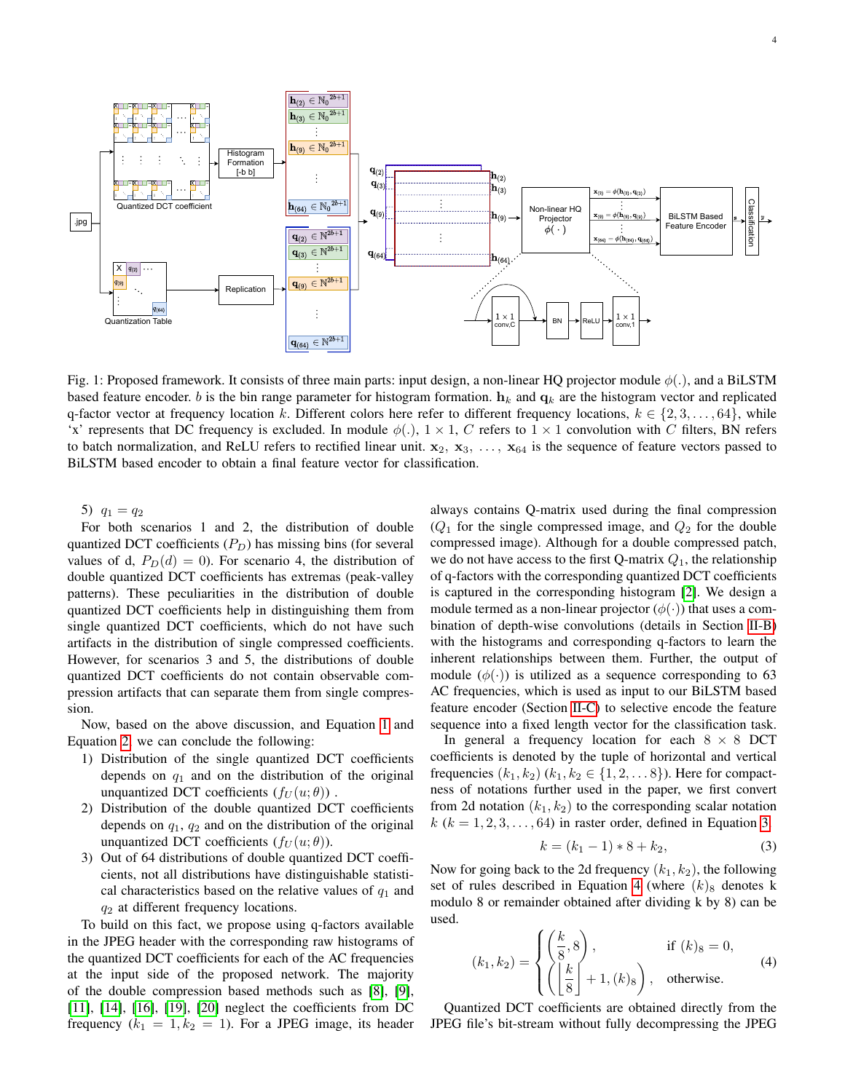4

<span id="page-3-0"></span>

Fig. 1: Proposed framework. It consists of three main parts: input design, a non-linear HQ projector module  $\phi(.)$ , and a BiLSTM based feature encoder. b is the bin range parameter for histogram formation.  $h_k$  and  $q_k$  are the histogram vector and replicated q-factor vector at frequency location k. Different colors here refer to different frequency locations,  $k \in \{2, 3, \ldots, 64\}$ , while 'x' represents that DC frequency is excluded. In module  $\phi(.)$ ,  $1 \times 1$ , C refers to  $1 \times 1$  convolution with C filters, BN refers to batch normalization, and ReLU refers to rectified linear unit.  $x_2, x_3, \ldots, x_{64}$  is the sequence of feature vectors passed to BiLSTM based encoder to obtain a final feature vector for classification.

5)  $q_1 = q_2$ 

For both scenarios 1 and 2, the distribution of double quantized DCT coefficients  $(P_D)$  has missing bins (for several values of d,  $P_D(d) = 0$ ). For scenario 4, the distribution of double quantized DCT coefficients has extremas (peak-valley patterns). These peculiarities in the distribution of double quantized DCT coefficients help in distinguishing them from single quantized DCT coefficients, which do not have such artifacts in the distribution of single compressed coefficients. However, for scenarios 3 and 5, the distributions of double quantized DCT coefficients do not contain observable compression artifacts that can separate them from single compression.

Now, based on the above discussion, and Equation [1](#page-2-1) and Equation [2,](#page-2-2) we can conclude the following:

- 1) Distribution of the single quantized DCT coefficients depends on  $q_1$  and on the distribution of the original unquantized DCT coefficients  $(f_U(u; \theta))$ .
- 2) Distribution of the double quantized DCT coefficients depends on  $q_1$ ,  $q_2$  and on the distribution of the original unquantized DCT coefficients  $(f_U(u; \theta))$ .
- 3) Out of 64 distributions of double quantized DCT coefficients, not all distributions have distinguishable statistical characteristics based on the relative values of  $q_1$  and  $q_2$  at different frequency locations.

To build on this fact, we propose using q-factors available in the JPEG header with the corresponding raw histograms of the quantized DCT coefficients for each of the AC frequencies at the input side of the proposed network. The majority of the double compression based methods such as [\[8\]](#page-10-7), [\[9\]](#page-10-8), [\[11\]](#page-10-14), [\[14\]](#page-10-13), [\[16\]](#page-11-0), [\[19\]](#page-11-3), [\[20\]](#page-11-4) neglect the coefficients from DC frequency  $(k_1 = 1, k_2 = 1)$ . For a JPEG image, its header always contains Q-matrix used during the final compression  $(Q_1)$  for the single compressed image, and  $Q_2$  for the double compressed image). Although for a double compressed patch, we do not have access to the first Q-matrix  $Q_1$ , the relationship of q-factors with the corresponding quantized DCT coefficients is captured in the corresponding histogram [\[2\]](#page-10-1). We design a module termed as a non-linear projector  $(\phi(\cdot))$  that uses a combination of depth-wise convolutions (details in Section [II-B\)](#page-4-0) with the histograms and corresponding q-factors to learn the inherent relationships between them. Further, the output of module  $(\phi(\cdot))$  is utilized as a sequence corresponding to 63 AC frequencies, which is used as input to our BiLSTM based feature encoder (Section [II-C\)](#page-4-1) to selective encode the feature sequence into a fixed length vector for the classification task.

In general a frequency location for each  $8 \times 8$  DCT coefficients is denoted by the tuple of horizontal and vertical frequencies  $(k_1, k_2)$   $(k_1, k_2 \in \{1, 2, \ldots 8\})$ . Here for compactness of notations further used in the paper, we first convert from 2d notation  $(k_1, k_2)$  to the corresponding scalar notation  $k$  ( $k = 1, 2, 3, \ldots, 64$ ) in raster order, defined in Equation [3.](#page-3-1)

<span id="page-3-1"></span>
$$
k = (k_1 - 1) * 8 + k_2,
$$
 (3)

Now for going back to the 2d frequency  $(k_1, k_2)$ , the following set of rules described in Equation [4](#page-3-2) (where  $(k)$ <sub>8</sub> denotes k modulo 8 or remainder obtained after dividing k by 8) can be used.

<span id="page-3-2"></span>
$$
(k_1, k_2) = \begin{cases} \left(\frac{k}{8}, 8\right), & \text{if } (k)_8 = 0, \\ \left(\left\lfloor\frac{k}{8}\right\rfloor + 1, (k)_8\right), & \text{otherwise.} \end{cases}
$$
 (4)

Quantized DCT coefficients are obtained directly from the JPEG file's bit-stream without fully decompressing the JPEG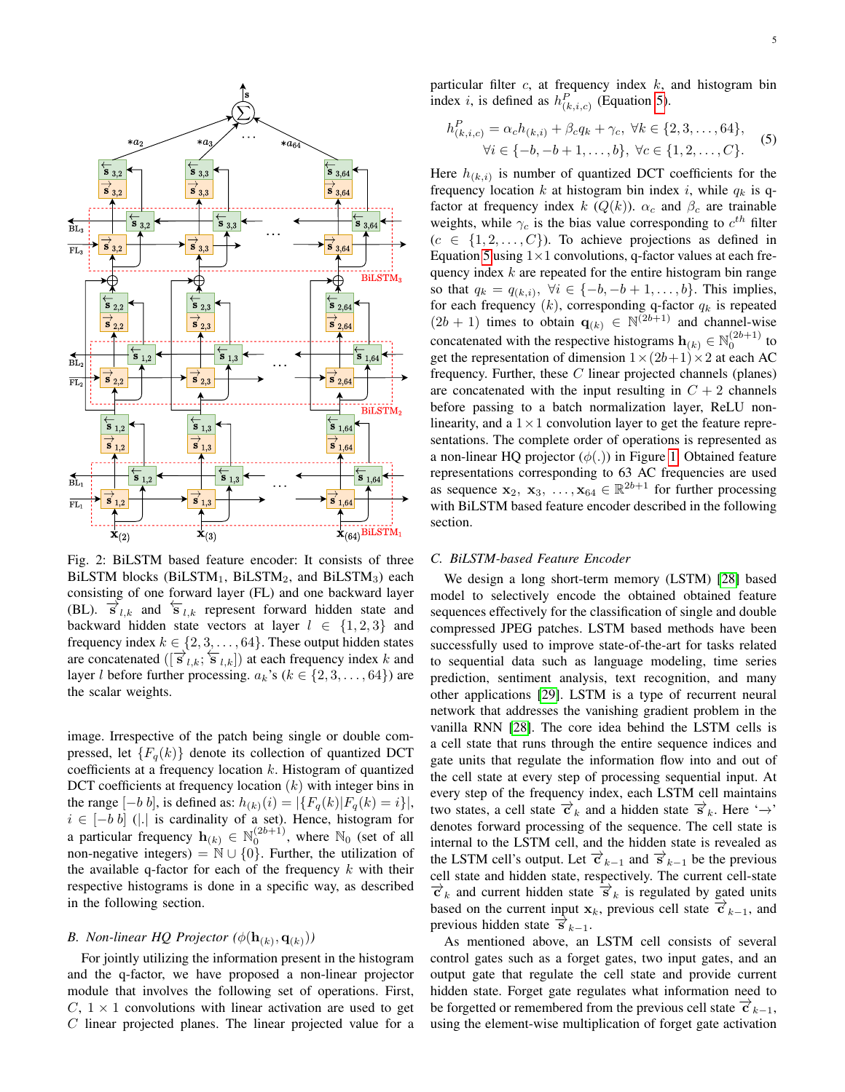<span id="page-4-3"></span>

Fig. 2: BiLSTM based feature encoder: It consists of three BiLSTM blocks (BiLSTM<sub>1</sub>, BiLSTM<sub>2</sub>, and BiLSTM<sub>3</sub>) each consisting of one forward layer (FL) and one backward layer (BL).  $\vec{s}_{l,k}$  and  $\vec{s}_{l,k}$  represent forward hidden state and backward hidden state vectors at layer  $l \in \{1,2,3\}$  and frequency index  $k \in \{2, 3, \ldots, 64\}$ . These output hidden states are concatenated  $([\vec{s}_{l,k}; \vec{s}_{l,k}])$  at each frequency index k and layer *l* before further processing.  $a_k$ 's ( $k \in \{2, 3, ..., 64\}$ ) are the scalar weights.

image. Irrespective of the patch being single or double compressed, let  ${F_q(k)}$  denote its collection of quantized DCT coefficients at a frequency location  $k$ . Histogram of quantized DCT coefficients at frequency location  $(k)$  with integer bins in the range  $[-b \, b]$ , is defined as:  $h_{(k)}(i) = |\{F_q(k)| F_q(k) = i\}|$ ,  $i \in [-b \; b]$  (|.| is cardinality of a set). Hence, histogram for a particular frequency  $\mathbf{h}_{(k)} \in \mathbb{N}_0^{(2b+1)}$ , where  $\mathbb{N}_0$  (set of all non-negative integers) =  $\mathbb{N} \cup \{0\}$ . Further, the utilization of the available q-factor for each of the frequency  $k$  with their respective histograms is done in a specific way, as described in the following section.

# <span id="page-4-0"></span>*B.* Non-linear HQ Projector  $(\phi(\mathbf{h}_{(k)}, \mathbf{q}_{(k)}))$

For jointly utilizing the information present in the histogram and the q-factor, we have proposed a non-linear projector module that involves the following set of operations. First,  $C, 1 \times 1$  convolutions with linear activation are used to get  $C$  linear projected planes. The linear projected value for a particular filter  $c$ , at frequency index  $k$ , and histogram bin index *i*, is defined as  $h_{(k,i,c)}^P$  (Equation [5\)](#page-4-2).

<span id="page-4-2"></span>
$$
h_{(k,i,c)}^P = \alpha_c h_{(k,i)} + \beta_c q_k + \gamma_c, \ \forall k \in \{2, 3, \dots, 64\},
$$
  

$$
\forall i \in \{-b, -b + 1, \dots, b\}, \ \forall c \in \{1, 2, \dots, C\}.
$$
 (5)

Here  $h_{(k,i)}$  is number of quantized DCT coefficients for the frequency location k at histogram bin index i, while  $q_k$  is qfactor at frequency index k  $(Q(k))$ .  $\alpha_c$  and  $\beta_c$  are trainable weights, while  $\gamma_c$  is the bias value corresponding to  $c^{th}$  filter  $(c \in \{1, 2, \ldots, C\})$ . To achieve projections as defined in Equation [5](#page-4-2) using  $1 \times 1$  convolutions, q-factor values at each frequency index  $k$  are repeated for the entire histogram bin range so that  $q_k = q_{(k,i)}$ ,  $\forall i \in \{-b, -b+1, \ldots, b\}$ . This implies, for each frequency  $(k)$ , corresponding q-factor  $q_k$  is repeated  $(2b + 1)$  times to obtain  $\mathbf{q}_{(k)} \in \mathbb{N}^{(2b+1)}$  and channel-wise concatenated with the respective histograms  $\mathbf{h}_{(k)} \in \mathbb{N}_0^{(2b+1)}$  to get the representation of dimension  $1 \times (2b+1) \times 2$  at each AC frequency. Further, these  $C$  linear projected channels (planes) are concatenated with the input resulting in  $C + 2$  channels before passing to a batch normalization layer, ReLU nonlinearity, and a  $1 \times 1$  convolution layer to get the feature representations. The complete order of operations is represented as a non-linear HQ projector  $(\phi(.))$  in Figure [1.](#page-3-0) Obtained feature representations corresponding to 63 AC frequencies are used as sequence  $\mathbf{x}_2, \mathbf{x}_3, \dots, \mathbf{x}_{64} \in \mathbb{R}^{2b+1}$  for further processing with BiLSTM based feature encoder described in the following section.

### <span id="page-4-1"></span>*C. BiLSTM-based Feature Encoder*

We design a long short-term memory (LSTM) [\[28\]](#page-11-12) based model to selectively encode the obtained obtained feature sequences effectively for the classification of single and double compressed JPEG patches. LSTM based methods have been successfully used to improve state-of-the-art for tasks related to sequential data such as language modeling, time series prediction, sentiment analysis, text recognition, and many other applications [\[29\]](#page-11-13). LSTM is a type of recurrent neural network that addresses the vanishing gradient problem in the vanilla RNN [\[28\]](#page-11-12). The core idea behind the LSTM cells is a cell state that runs through the entire sequence indices and gate units that regulate the information flow into and out of the cell state at every step of processing sequential input. At every step of the frequency index, each LSTM cell maintains two states, a cell state  $\vec{c}_k$  and a hidden state  $\vec{s}_k$ . Here ' $\rightarrow$ ' denotes forward processing of the sequence. The cell state is internal to the LSTM cell, and the hidden state is revealed as the LSTM cell's output. Let  $\vec{c}_{k-1}$  and  $\vec{s}_{k-1}$  be the previous cell state and hidden state, respectively. The current cell-state  $\vec{c}_k$  and current hidden state  $\vec{s}_k$  is regulated by gated units based on the current input  $x_k$ , previous cell state  $\vec{c}_{k-1}$ , and previous hidden state  $\vec{s}_{k-1}$ .

As mentioned above, an LSTM cell consists of several control gates such as a forget gates, two input gates, and an output gate that regulate the cell state and provide current hidden state. Forget gate regulates what information need to be forgetted or remembered from the previous cell state  $\vec{c}_{k-1}$ , using the element-wise multiplication of forget gate activation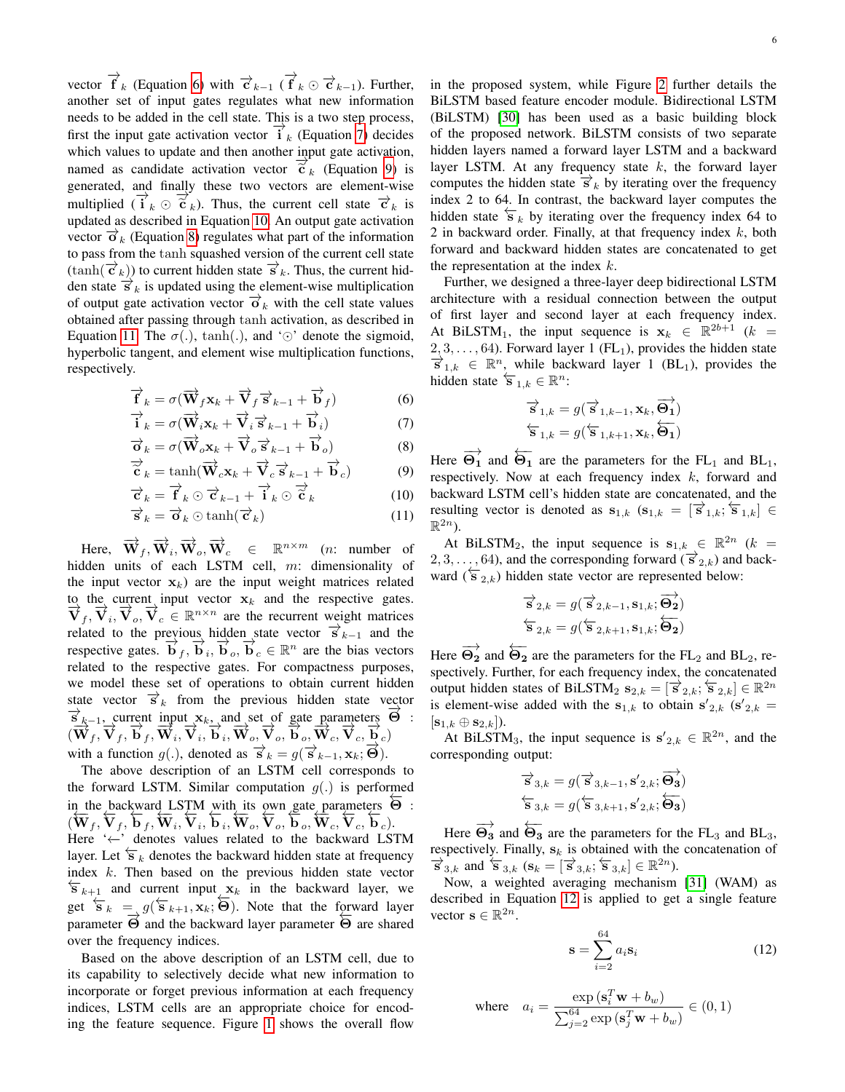vector  $\overrightarrow{f}_k$  (Equation [6\)](#page-5-0) with  $\overrightarrow{c}_{k-1}$  ( $\overrightarrow{f}_k \odot \overrightarrow{c}_{k-1}$ ). Further, another set of input gates regulates what new information needs to be added in the cell state. This is a two step process, first the input gate activation vector  $\overrightarrow{i}_k$  (Equation [7\)](#page-5-1) decides which values to update and then another input gate activation, named as candidate activation vector  $\tilde{c}_k$  (Equation [9\)](#page-5-2) is<br>congrated and finally these two vectors are element wise generated, and finally these two vectors are element-wise multiplied  $(\vec{i}_k \odot \vec{\epsilon}_k)$ . Thus, the current cell state  $\vec{\epsilon}_k$  is<br>undeted as described in Equation 10. An output gets estimation updated as described in Equation [10.](#page-5-3) An output gate activation vector  $\vec{\sigma}_k$  (Equation [8\)](#page-5-4) regulates what part of the information to pass from the tanh squashed version of the current cell state  $(\tanh(\vec{\tau}_k))$  to current hidden state  $\vec{s}_k$ . Thus, the current hidden state  $\vec{s}_k$  is updated using the element-wise multiplication of output gate activation vector  $\vec{a}_k$  with the cell state values obtained after passing through tanh activation, as described in Equation [11.](#page-5-5) The  $\sigma(.)$ , tanh(.), and ' $\odot$ ' denote the sigmoid, hyperbolic tangent, and element wise multiplication functions, respectively.

$$
\overrightarrow{\mathbf{f}}_k = \sigma(\overrightarrow{\mathbf{W}}_f \mathbf{x}_k + \overrightarrow{\mathbf{V}}_f \overrightarrow{\mathbf{s}}_{k-1} + \overrightarrow{\mathbf{b}}_f) \tag{6}
$$

$$
\overrightarrow{\mathbf{i}}_k = \sigma(\overrightarrow{\mathbf{W}}_i \mathbf{x}_k + \overrightarrow{\mathbf{V}}_i \overrightarrow{\mathbf{s}}_{k-1} + \overrightarrow{\mathbf{b}}_i) \tag{7}
$$

$$
\overrightarrow{\mathbf{O}}_k = \sigma(\overrightarrow{\mathbf{W}}_o \mathbf{x}_k + \overrightarrow{\mathbf{V}}_o \overrightarrow{\mathbf{s}}_{k-1} + \overrightarrow{\mathbf{b}}_o)
$$
 (8)

$$
\overrightarrow{\widetilde{\mathbf{c}}}_{k} = \tanh(\overrightarrow{\mathbf{W}}_{c}\mathbf{x}_{k} + \overrightarrow{\mathbf{V}}_{c}\overrightarrow{\mathbf{s}}_{k-1} + \overrightarrow{\mathbf{b}}_{c})
$$
(9)

$$
\overrightarrow{\mathbf{c}}_k = \overrightarrow{\mathbf{f}}_k \odot \overrightarrow{\mathbf{c}}_{k-1} + \overrightarrow{\mathbf{i}}_k \odot \overrightarrow{\mathbf{c}}_k \tag{10}
$$

$$
\overrightarrow{\mathbf{s}}_k = \overrightarrow{\mathbf{o}}_k \odot \tanh(\overrightarrow{\mathbf{c}}_k)
$$
 (11)

Here,  $\overrightarrow{\mathbf{W}}_f, \overrightarrow{\mathbf{W}}_i, \overrightarrow{\mathbf{W}}_o, \overrightarrow{\mathbf{W}}_c \in \mathbb{R}^{n \times m}$  (*n*: number of hidden units of each LSTM cell, m: dimensionality of the input vector  $x_k$ ) are the input weight matrices related to the current input vector  $x_k$  and the respective gates.  $\vec{V}_f$ ,  $\vec{V}_i$ ,  $\vec{V}_o$ ,  $\vec{V}_c \in \mathbb{R}^{n \times n}$  are the recurrent weight matrices related to the previous hidden state vector  $\vec{s}_{k-1}$  and the respective gates.  $\overrightarrow{b}_f$ ,  $\overrightarrow{b}_i$ ,  $\overrightarrow{b}_o$ ,  $\overrightarrow{b}_c \in \mathbb{R}^n$  are the bias vectors related to the respective gates. For compactness purposes, we model these set of operations to obtain current hidden state vector  $\vec{s}_k$  from the previous hidden state vector  $\vec{s}_{k-1}$ , current input  $\mathbf{x}_k$ , and set of gate parameters  $\vec{\Theta}$ :  $(\overline{\bf W}_f, \overline{\bf V}_f, \overline{\bf b}_f, \overline{\bf W}_i, \overline{\bf V}_i, \overline{\bf b}_i, \overline{\bf W}_o, \overline{\bf V}_o, \overline{\bf b}_o, \overline{\bf W}_c, \overline{\bf V}_c, \overline{\bf b}_c)$ with a function  $g(.)$ , denoted as  $\overrightarrow{s}_k = g(\overrightarrow{s}_{k-1}, \mathbf{x}_k; \overrightarrow{\Theta})$ .

The above description of an LSTM cell corresponds to the forward LSTM. Similar computation  $g(.)$  is performed in the backward LSTM with its own gate parameters  $\overline{\Theta}$ :  $(\overline{W}_f, \overline{V}_f, \overline{b}_f, \overline{W}_i, \overline{V}_i, \overline{b}_i, \overline{W}_o, \overline{V}_o, \overline{b}_o, \overline{W}_c, \overline{V}_c, \overline{b}_c)$ Here '←−' denotes values related to the backward LSTM layer. Let  $\overleftarrow{s}_k$  denotes the backward hidden state at frequency index k. Then based on the previous hidden state vector  $\overleftarrow{\mathbf{s}}_{k+1}$  and current input  $\mathbf{x}_k$  in the backward layer, we get  $\overleftarrow{s}_k = g(\overleftarrow{s}_{k+1}, \mathbf{x}_k; \overleftarrow{\Theta})$ . Note that the forward layer parameter  $\overrightarrow{\Theta}$  and the backward layer parameter  $\overrightarrow{\Theta}$  are shared over the frequency indices.

Based on the above description of an LSTM cell, due to its capability to selectively decide what new information to incorporate or forget previous information at each frequency indices, LSTM cells are an appropriate choice for encoding the feature sequence. Figure [1](#page-3-0) shows the overall flow 6

in the proposed system, while Figure [2](#page-4-3) further details the BiLSTM based feature encoder module. Bidirectional LSTM (BiLSTM) [\[30\]](#page-11-14) has been used as a basic building block of the proposed network. BiLSTM consists of two separate hidden layers named a forward layer LSTM and a backward layer LSTM. At any frequency state  $k$ , the forward layer computes the hidden state  $\vec{s}_k$  by iterating over the frequency index 2 to 64. In contrast, the backward layer computes the hidden state  $\overline{S}_k$  by iterating over the frequency index 64 to 2 in backward order. Finally, at that frequency index  $k$ , both forward and backward hidden states are concatenated to get the representation at the index  $k$ .

Further, we designed a three-layer deep bidirectional LSTM architecture with a residual connection between the output of first layer and second layer at each frequency index. At BiLSTM<sub>1</sub>, the input sequence is  $x_k \in \mathbb{R}^{2b+1}$  (k =  $2, 3, \ldots, 64$ ). Forward layer 1 (FL<sub>1</sub>), provides the hidden state  $\overrightarrow{s}_{1,k} \in \mathbb{R}^n$ , while backward layer 1 (BL<sub>1</sub>), provides the hidden state  $\overleftarrow{\mathbf{s}}_{1,k} \in \mathbb{R}^n$ :

$$
\overrightarrow{s}_{1,k}=g(\overrightarrow{s}_{1,k-1},\mathbf{x}_{k},\overrightarrow{\mathbf{\Theta}_{1}})\n\overleftarrow{\mathbf{s}}_{1,k}=g(\overleftarrow{\mathbf{s}}_{1,k+1},\mathbf{x}_{k},\overleftarrow{\mathbf{\Theta}_{1}})
$$

<span id="page-5-4"></span><span id="page-5-3"></span><span id="page-5-2"></span><span id="page-5-1"></span><span id="page-5-0"></span>Here  $\overrightarrow{\Theta_1}$  and  $\overleftarrow{\Theta_1}$  are the parameters for the FL<sub>1</sub> and BL<sub>1</sub>, respectively. Now at each frequency index  $k$ , forward and backward LSTM cell's hidden state are concatenated, and the resulting vector is denoted as  $\mathbf{s}_{1,k}$   $(\mathbf{s}_{1,k} = [\vec{s}_{1,k}; \vec{s}_{1,k}] \in$  $\mathbb{R}^{2n}$ ).

<span id="page-5-5"></span>At BiLSTM<sub>2</sub>, the input sequence is  $s_{1,k} \in \mathbb{R}^{2n}$  (k =  $2, 3, \ldots, 64$ ), and the corresponding forward ( $\vec{s}$ <sub>2,k</sub>) and backward ( $\overline{S}_{2,k}$ ) hidden state vector are represented below:

$$
\overrightarrow{\mathbf{s}}_{2,k} = g(\overrightarrow{\mathbf{s}}_{2,k-1}, \mathbf{s}_{1,k}; \overrightarrow{\mathbf{\Theta}_{2}}) \n\overleftarrow{\mathbf{s}}_{2,k} = g(\overleftarrow{\mathbf{s}}_{2,k+1}, \mathbf{s}_{1,k}; \overleftarrow{\mathbf{\Theta}_{2}})
$$

Here  $\overrightarrow{\Theta_2}$  and  $\overleftarrow{\Theta_2}$  are the parameters for the FL<sub>2</sub> and BL<sub>2</sub>, respectively. Further, for each frequency index, the concatenated output hidden states of BiLSTM<sub>2</sub>  $\mathbf{s}_{2,k} = [\vec{s}_{2,k}; \vec{s}_{2,k}] \in \mathbb{R}^{2n}$ is element-wise added with the  $s_{1,k}$  to obtain  $s'_{2,k}$  ( $s'_{2,k}$ )  $[\mathbf{s}_{1,k} \oplus \mathbf{s}_{2,k}].$ 

At BiLSTM<sub>3</sub>, the input sequence is  $s'_{2,k} \in \mathbb{R}^{2n}$ , and the corresponding output:

$$
\overrightarrow{s}_{3,k}=g(\overrightarrow{s}_{3,k-1},\mathbf{s'}_{2,k};\overrightarrow{\mathbf{\Theta_3}})\n\overleftarrow{\mathbf{s}}_{3,k}=g(\overleftarrow{\mathbf{s}}_{3,k+1},\mathbf{s'}_{2,k};\overleftarrow{\mathbf{\Theta_3}})
$$

Here  $\overrightarrow{\Theta_3}$  and  $\overleftarrow{\Theta_3}$  are the parameters for the FL<sub>3</sub> and BL<sub>3</sub>, respectively. Finally,  $s_k$  is obtained with the concatenation of  $\overrightarrow{s}_{3,k}$  and  $\overleftarrow{s}_{3,k}$  ( $\mathbf{s}_k = [\overrightarrow{s}_{3,k}; \overleftarrow{s}_{3,k}] \in \mathbb{R}^{2n}$ ).

Now, a weighted averaging mechanism [\[31\]](#page-11-15) (WAM) as described in Equation [12](#page-5-6) is applied to get a single feature vector  $\mathbf{s} \in \mathbb{R}^{2n}$ .

<span id="page-5-6"></span>
$$
\mathbf{s} = \sum_{i=2}^{64} a_i \mathbf{s}_i \tag{12}
$$

where 
$$
a_i = \frac{\exp\left(\mathbf{s}_i^T \mathbf{w} + b_w\right)}{\sum_{j=2}^{64} \exp\left(\mathbf{s}_j^T \mathbf{w} + b_w\right)} \in (0, 1)
$$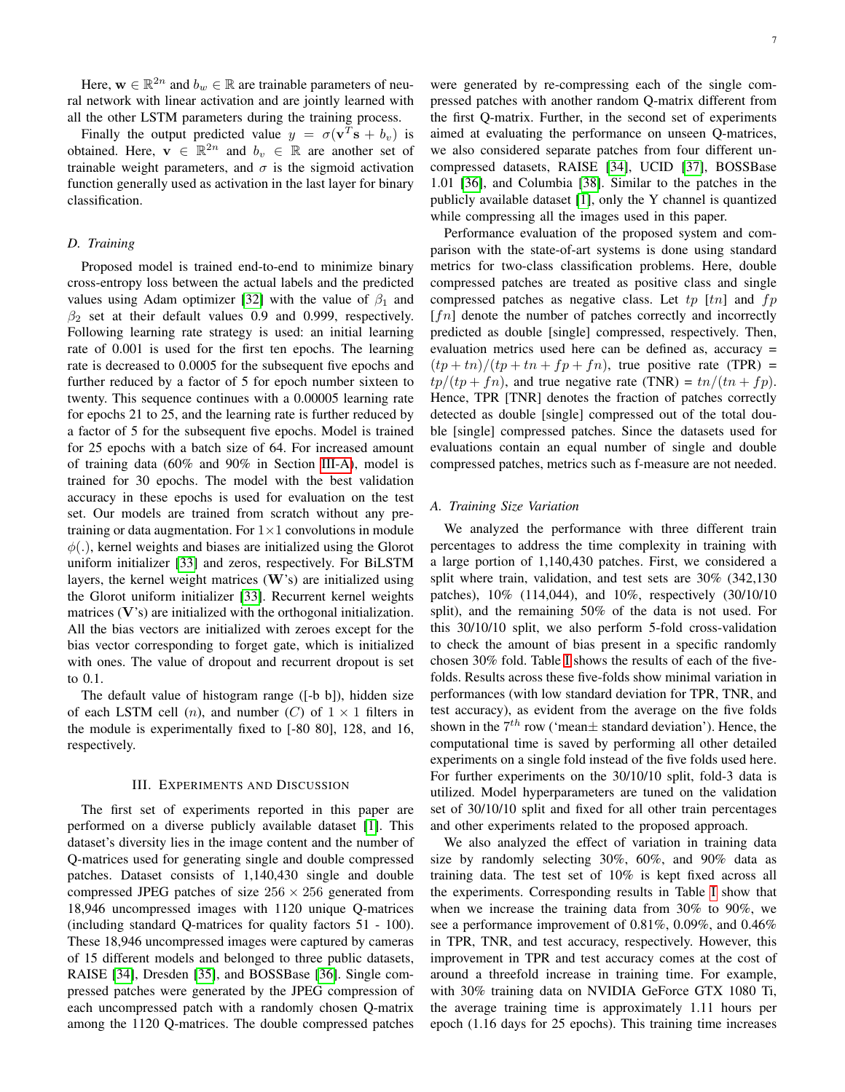Here,  $\mathbf{w} \in \mathbb{R}^{2n}$  and  $b_w \in \mathbb{R}$  are trainable parameters of neural network with linear activation and are jointly learned with all the other LSTM parameters during the training process.

Finally the output predicted value  $y = \sigma(\mathbf{v}^T \mathbf{s} + b_v)$  is obtained. Here,  $\mathbf{v} \in \mathbb{R}^{2n}$  and  $b_v \in \mathbb{R}$  are another set of trainable weight parameters, and  $\sigma$  is the sigmoid activation function generally used as activation in the last layer for binary classification.

## *D. Training*

Proposed model is trained end-to-end to minimize binary cross-entropy loss between the actual labels and the predicted values using Adam optimizer [\[32\]](#page-11-16) with the value of  $\beta_1$  and  $\beta_2$  set at their default values 0.9 and 0.999, respectively. Following learning rate strategy is used: an initial learning rate of 0.001 is used for the first ten epochs. The learning rate is decreased to 0.0005 for the subsequent five epochs and further reduced by a factor of 5 for epoch number sixteen to twenty. This sequence continues with a 0.00005 learning rate for epochs 21 to 25, and the learning rate is further reduced by a factor of 5 for the subsequent five epochs. Model is trained for 25 epochs with a batch size of 64. For increased amount of training data (60% and 90% in Section [III-A\)](#page-6-1), model is trained for 30 epochs. The model with the best validation accuracy in these epochs is used for evaluation on the test set. Our models are trained from scratch without any pretraining or data augmentation. For  $1\times1$  convolutions in module  $\phi(.)$ , kernel weights and biases are initialized using the Glorot uniform initializer [\[33\]](#page-11-17) and zeros, respectively. For BiLSTM layers, the kernel weight matrices (W's) are initialized using the Glorot uniform initializer [\[33\]](#page-11-17). Recurrent kernel weights matrices  $(V's)$  are initialized with the orthogonal initialization. All the bias vectors are initialized with zeroes except for the bias vector corresponding to forget gate, which is initialized with ones. The value of dropout and recurrent dropout is set to 0.1.

The default value of histogram range ([-b b]), hidden size of each LSTM cell  $(n)$ , and number  $(C)$  of  $1 \times 1$  filters in the module is experimentally fixed to [-80 80], 128, and 16, respectively.

#### III. EXPERIMENTS AND DISCUSSION

<span id="page-6-0"></span>The first set of experiments reported in this paper are performed on a diverse publicly available dataset [\[1\]](#page-10-0). This dataset's diversity lies in the image content and the number of Q-matrices used for generating single and double compressed patches. Dataset consists of 1,140,430 single and double compressed JPEG patches of size  $256 \times 256$  generated from 18,946 uncompressed images with 1120 unique Q-matrices (including standard Q-matrices for quality factors 51 - 100). These 18,946 uncompressed images were captured by cameras of 15 different models and belonged to three public datasets, RAISE [\[34\]](#page-11-18), Dresden [\[35\]](#page-11-19), and BOSSBase [\[36\]](#page-11-20). Single compressed patches were generated by the JPEG compression of each uncompressed patch with a randomly chosen Q-matrix among the 1120 Q-matrices. The double compressed patches were generated by re-compressing each of the single compressed patches with another random Q-matrix different from the first Q-matrix. Further, in the second set of experiments aimed at evaluating the performance on unseen Q-matrices, we also considered separate patches from four different uncompressed datasets, RAISE [\[34\]](#page-11-18), UCID [\[37\]](#page-11-21), BOSSBase 1.01 [\[36\]](#page-11-20), and Columbia [\[38\]](#page-12-0). Similar to the patches in the publicly available dataset [\[1\]](#page-10-0), only the Y channel is quantized while compressing all the images used in this paper.

Performance evaluation of the proposed system and comparison with the state-of-art systems is done using standard metrics for two-class classification problems. Here, double compressed patches are treated as positive class and single compressed patches as negative class. Let  $tp$  [tn] and  $fp$  $[fn]$  denote the number of patches correctly and incorrectly predicted as double [single] compressed, respectively. Then, evaluation metrics used here can be defined as, accuracy =  $(tp + tn)/(tp + tn + fp + fn)$ , true positive rate (TPR) =  $tp/(tp + fn)$ , and true negative rate (TNR) =  $tn/(tn + fp)$ . Hence, TPR [TNR] denotes the fraction of patches correctly detected as double [single] compressed out of the total double [single] compressed patches. Since the datasets used for evaluations contain an equal number of single and double compressed patches, metrics such as f-measure are not needed.

## <span id="page-6-1"></span>*A. Training Size Variation*

We analyzed the performance with three different train percentages to address the time complexity in training with a large portion of 1,140,430 patches. First, we considered a split where train, validation, and test sets are 30% (342,130 patches), 10% (114,044), and 10%, respectively (30/10/10 split), and the remaining 50% of the data is not used. For this 30/10/10 split, we also perform 5-fold cross-validation to check the amount of bias present in a specific randomly chosen 30% fold. Table [I](#page-7-1) shows the results of each of the fivefolds. Results across these five-folds show minimal variation in performances (with low standard deviation for TPR, TNR, and test accuracy), as evident from the average on the five folds shown in the  $7<sup>th</sup>$  row ('mean $\pm$  standard deviation'). Hence, the computational time is saved by performing all other detailed experiments on a single fold instead of the five folds used here. For further experiments on the 30/10/10 split, fold-3 data is utilized. Model hyperparameters are tuned on the validation set of 30/10/10 split and fixed for all other train percentages and other experiments related to the proposed approach.

We also analyzed the effect of variation in training data size by randomly selecting 30%, 60%, and 90% data as training data. The test set of 10% is kept fixed across all the experiments. Corresponding results in Table [I](#page-7-1) show that when we increase the training data from 30% to 90%, we see a performance improvement of 0.81%, 0.09%, and 0.46% in TPR, TNR, and test accuracy, respectively. However, this improvement in TPR and test accuracy comes at the cost of around a threefold increase in training time. For example, with 30% training data on NVIDIA GeForce GTX 1080 Ti, the average training time is approximately 1.11 hours per epoch (1.16 days for 25 epochs). This training time increases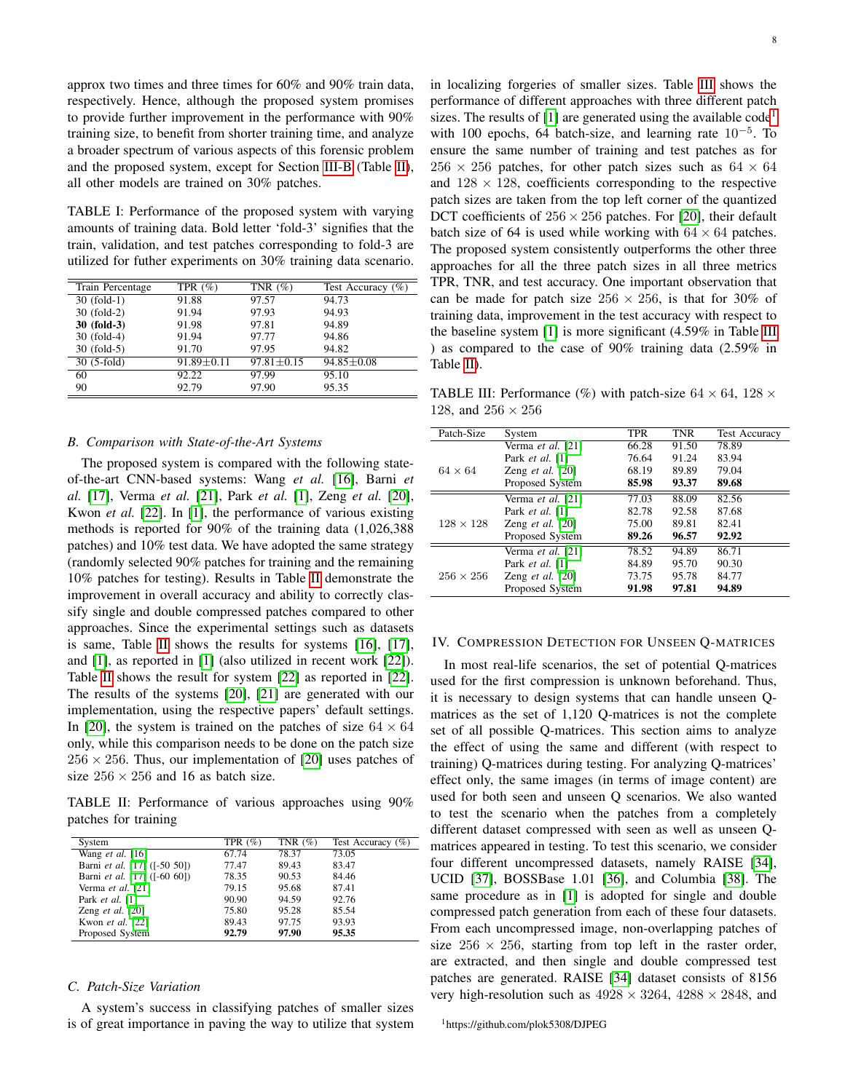approx two times and three times for 60% and 90% train data, respectively. Hence, although the proposed system promises to provide further improvement in the performance with 90% training size, to benefit from shorter training time, and analyze a broader spectrum of various aspects of this forensic problem and the proposed system, except for Section [III-B](#page-7-2) (Table [II\)](#page-7-3), all other models are trained on 30% patches.

<span id="page-7-1"></span>TABLE I: Performance of the proposed system with varying amounts of training data. Bold letter 'fold-3' signifies that the train, validation, and test patches corresponding to fold-3 are utilized for futher experiments on 30% training data scenario.

| Train Percentage | TPR $(\%)$       | TNR $(\%)$       | Test Accuracy $(\%)$ |
|------------------|------------------|------------------|----------------------|
| $30$ (fold-1)    | 91.88            | 97.57            | 94.73                |
| 30 (fold-2)      | 91.94            | 97.93            | 94.93                |
| 30 (fold-3)      | 91.98            | 97.81            | 94.89                |
| 30 (fold-4)      | 91.94            | 97.77            | 94.86                |
| $30$ (fold-5)    | 91.70            | 97.95            | 94.82                |
| $30(5-fold)$     | $91.89 \pm 0.11$ | $97.81 \pm 0.15$ | $94.85 \pm 0.08$     |
| 60               | 92.22            | 97.99            | 95.10                |
| 90               | 92.79            | 97.90            | 95.35                |

#### <span id="page-7-2"></span>*B. Comparison with State-of-the-Art Systems*

The proposed system is compared with the following stateof-the-art CNN-based systems: Wang *et al.* [\[16\]](#page-11-0), Barni *et al.* [\[17\]](#page-11-1), Verma *et al.* [\[21\]](#page-11-5), Park *et al.* [\[1\]](#page-10-0), Zeng *et al.* [\[20\]](#page-11-4), Kwon *et al.* [\[22\]](#page-11-6). In [\[1\]](#page-10-0), the performance of various existing methods is reported for 90% of the training data (1,026,388 patches) and 10% test data. We have adopted the same strategy (randomly selected 90% patches for training and the remaining 10% patches for testing). Results in Table [II](#page-7-3) demonstrate the improvement in overall accuracy and ability to correctly classify single and double compressed patches compared to other approaches. Since the experimental settings such as datasets is same, Table [II](#page-7-3) shows the results for systems [\[16\]](#page-11-0), [\[17\]](#page-11-1), and [\[1\]](#page-10-0), as reported in [\[1\]](#page-10-0) (also utilized in recent work [\[22\]](#page-11-6)). Table [II](#page-7-3) shows the result for system [\[22\]](#page-11-6) as reported in [\[22\]](#page-11-6). The results of the systems [\[20\]](#page-11-4), [\[21\]](#page-11-5) are generated with our implementation, using the respective papers' default settings. In [\[20\]](#page-11-4), the system is trained on the patches of size  $64 \times 64$ only, while this comparison needs to be done on the patch size  $256 \times 256$ . Thus, our implementation of [\[20\]](#page-11-4) uses patches of size  $256 \times 256$  and 16 as batch size.

<span id="page-7-3"></span>TABLE II: Performance of various approaches using 90% patches for training

| System                       | TPR $(\% )$ | TNR $(\%)$ | Test Accuracy $(\%)$ |
|------------------------------|-------------|------------|----------------------|
| Wang et al. $[16]$           | 67.74       | 78.37      | 73.05                |
| Barni et al. [17] ([-50 50]) | 77.47       | 89.43      | 83.47                |
| Barni et al. [17] ([-60 60]) | 78.35       | 90.53      | 84.46                |
| Verma et al. [21]            | 79.15       | 95.68      | 87.41                |
| Park $et$ al. [1]            | 90.90       | 94.59      | 92.76                |
| Zeng <i>et al.</i> $[20]$    | 75.80       | 95.28      | 85.54                |
| Kwon et al. [22]             | 89.43       | 97.75      | 93.93                |
| Proposed System              | 92.79       | 97.90      | 95.35                |

## <span id="page-7-0"></span>*C. Patch-Size Variation*

A system's success in classifying patches of smaller sizes is of great importance in paving the way to utilize that system

in localizing forgeries of smaller sizes. Table [III](#page-7-4) shows the performance of different approaches with three different patch sizes. The results of  $[1]$  are generated using the available code<sup>[1](#page-7-5)</sup> with 100 epochs, 64 batch-size, and learning rate  $10^{-5}$ . To ensure the same number of training and test patches as for  $256 \times 256$  patches, for other patch sizes such as  $64 \times 64$ and  $128 \times 128$ , coefficients corresponding to the respective patch sizes are taken from the top left corner of the quantized DCT coefficients of  $256 \times 256$  patches. For [\[20\]](#page-11-4), their default batch size of 64 is used while working with  $64 \times 64$  patches. The proposed system consistently outperforms the other three approaches for all the three patch sizes in all three metrics TPR, TNR, and test accuracy. One important observation that can be made for patch size  $256 \times 256$ , is that for 30% of training data, improvement in the test accuracy with respect to the baseline system [\[1\]](#page-10-0) is more significant (4.59% in Table [III](#page-7-4) ) as compared to the case of 90% training data (2.59% in Table [II\)](#page-7-3).

<span id="page-7-4"></span>TABLE III: Performance (%) with patch-size  $64 \times 64$ ,  $128 \times$ 128, and 256 × 256

| Patch-Size       | System                    | TPR   | <b>TNR</b> | <b>Test Accuracy</b> |
|------------------|---------------------------|-------|------------|----------------------|
|                  | Verma et al. [21]         | 66.28 | 91.50      | 78.89                |
|                  | Park et al. [1]           | 76.64 | 91.24      | 83.94                |
| $64 \times 64$   | Zeng <i>et al.</i> $[20]$ | 68.19 | 89.89      | 79.04                |
|                  | Proposed System           | 85.98 | 93.37      | 89.68                |
|                  | Verma et al. [21]         | 77.03 | 88.09      | 82.56                |
|                  | Park $et$ al. [1]         | 82.78 | 92.58      | 87.68                |
| $128 \times 128$ | Zeng <i>et al.</i> $[20]$ | 75.00 | 89.81      | 82.41                |
|                  | Proposed System           | 89.26 | 96.57      | 92.92                |
|                  | Verma et al. [21]         | 78.52 | 94.89      | 86.71                |
|                  | Park $et$ al. [1]         | 84.89 | 95.70      | 90.30                |
| $256 \times 256$ | Zeng <i>et al.</i> $[20]$ | 73.75 | 95.78      | 84.77                |
|                  | Proposed System           | 91.98 | 97.81      | 94.89                |

#### IV. COMPRESSION DETECTION FOR UNSEEN Q-MATRICES

In most real-life scenarios, the set of potential Q-matrices used for the first compression is unknown beforehand. Thus, it is necessary to design systems that can handle unseen Qmatrices as the set of 1,120 Q-matrices is not the complete set of all possible Q-matrices. This section aims to analyze the effect of using the same and different (with respect to training) Q-matrices during testing. For analyzing Q-matrices' effect only, the same images (in terms of image content) are used for both seen and unseen Q scenarios. We also wanted to test the scenario when the patches from a completely different dataset compressed with seen as well as unseen Qmatrices appeared in testing. To test this scenario, we consider four different uncompressed datasets, namely RAISE [\[34\]](#page-11-18), UCID [\[37\]](#page-11-21), BOSSBase 1.01 [\[36\]](#page-11-20), and Columbia [\[38\]](#page-12-0). The same procedure as in [\[1\]](#page-10-0) is adopted for single and double compressed patch generation from each of these four datasets. From each uncompressed image, non-overlapping patches of size  $256 \times 256$ , starting from top left in the raster order, are extracted, and then single and double compressed test patches are generated. RAISE [\[34\]](#page-11-18) dataset consists of 8156 very high-resolution such as  $4928 \times 3264$ ,  $4288 \times 2848$ , and

<span id="page-7-5"></span><sup>1</sup>https://github.com/plok5308/DJPEG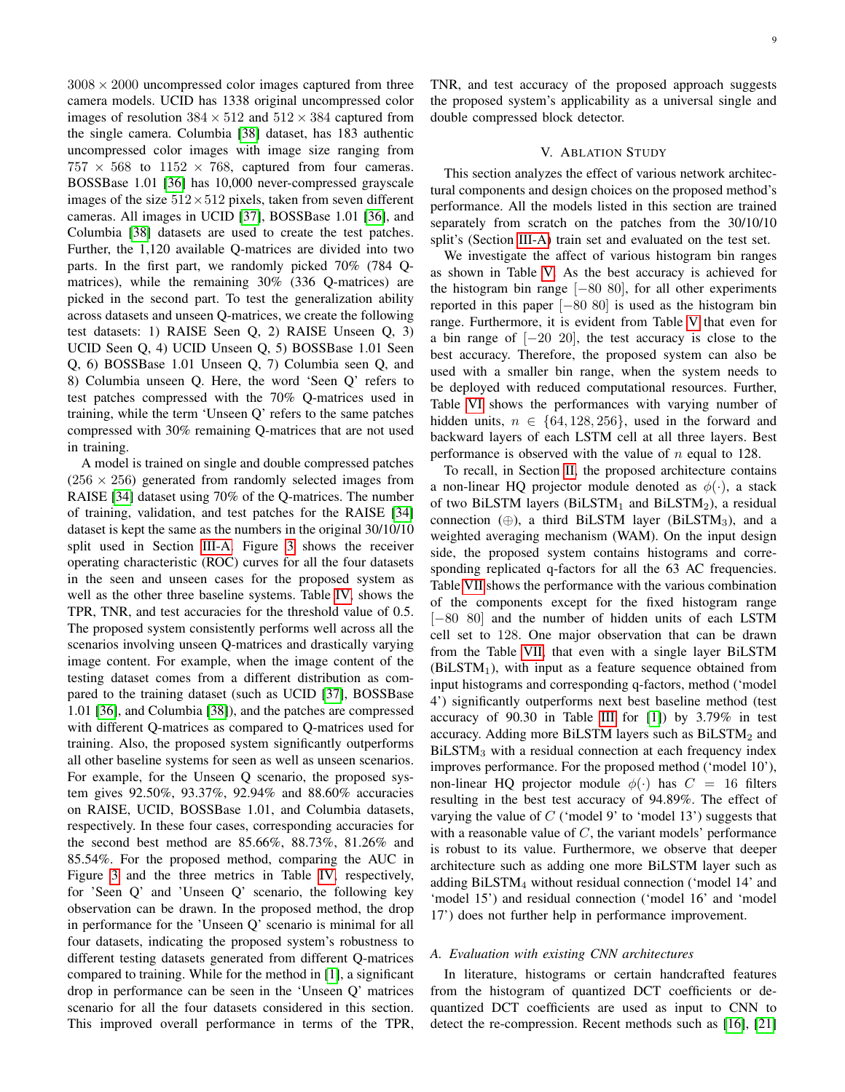$3008 \times 2000$  uncompressed color images captured from three camera models. UCID has 1338 original uncompressed color images of resolution  $384 \times 512$  and  $512 \times 384$  captured from the single camera. Columbia [\[38\]](#page-12-0) dataset, has 183 authentic uncompressed color images with image size ranging from  $757 \times 568$  to  $1152 \times 768$ , captured from four cameras. BOSSBase 1.01 [\[36\]](#page-11-20) has 10,000 never-compressed grayscale images of the size  $512 \times 512$  pixels, taken from seven different cameras. All images in UCID [\[37\]](#page-11-21), BOSSBase 1.01 [\[36\]](#page-11-20), and Columbia [\[38\]](#page-12-0) datasets are used to create the test patches. Further, the 1,120 available Q-matrices are divided into two parts. In the first part, we randomly picked 70% (784 Qmatrices), while the remaining 30% (336 Q-matrices) are picked in the second part. To test the generalization ability across datasets and unseen Q-matrices, we create the following test datasets: 1) RAISE Seen Q, 2) RAISE Unseen Q, 3) UCID Seen Q, 4) UCID Unseen Q, 5) BOSSBase 1.01 Seen Q, 6) BOSSBase 1.01 Unseen Q, 7) Columbia seen Q, and 8) Columbia unseen Q. Here, the word 'Seen Q' refers to test patches compressed with the 70% Q-matrices used in training, while the term 'Unseen Q' refers to the same patches compressed with 30% remaining Q-matrices that are not used in training.

A model is trained on single and double compressed patches  $(256 \times 256)$  generated from randomly selected images from RAISE [\[34\]](#page-11-18) dataset using 70% of the Q-matrices. The number of training, validation, and test patches for the RAISE [\[34\]](#page-11-18) dataset is kept the same as the numbers in the original 30/10/10 split used in Section [III-A.](#page-6-1) Figure [3](#page-9-0) shows the receiver operating characteristic (ROC) curves for all the four datasets in the seen and unseen cases for the proposed system as well as the other three baseline systems. Table [IV,](#page-9-1) shows the TPR, TNR, and test accuracies for the threshold value of 0.5. The proposed system consistently performs well across all the scenarios involving unseen Q-matrices and drastically varying image content. For example, when the image content of the testing dataset comes from a different distribution as compared to the training dataset (such as UCID [\[37\]](#page-11-21), BOSSBase 1.01 [\[36\]](#page-11-20), and Columbia [\[38\]](#page-12-0)), and the patches are compressed with different Q-matrices as compared to Q-matrices used for training. Also, the proposed system significantly outperforms all other baseline systems for seen as well as unseen scenarios. For example, for the Unseen Q scenario, the proposed system gives 92.50%, 93.37%, 92.94% and 88.60% accuracies on RAISE, UCID, BOSSBase 1.01, and Columbia datasets, respectively. In these four cases, corresponding accuracies for the second best method are 85.66%, 88.73%, 81.26% and 85.54%. For the proposed method, comparing the AUC in Figure [3](#page-9-0) and the three metrics in Table [IV,](#page-9-1) respectively, for 'Seen Q' and 'Unseen Q' scenario, the following key observation can be drawn. In the proposed method, the drop in performance for the 'Unseen Q' scenario is minimal for all four datasets, indicating the proposed system's robustness to different testing datasets generated from different Q-matrices compared to training. While for the method in [\[1\]](#page-10-0), a significant drop in performance can be seen in the 'Unseen Q' matrices scenario for all the four datasets considered in this section. This improved overall performance in terms of the TPR, TNR, and test accuracy of the proposed approach suggests the proposed system's applicability as a universal single and double compressed block detector.

## V. ABLATION STUDY

This section analyzes the effect of various network architectural components and design choices on the proposed method's performance. All the models listed in this section are trained separately from scratch on the patches from the 30/10/10 split's (Section [III-A\)](#page-6-1) train set and evaluated on the test set.

We investigate the affect of various histogram bin ranges as shown in Table [V.](#page-9-2) As the best accuracy is achieved for the histogram bin range [−80 80], for all other experiments reported in this paper  $[-80, 80]$  is used as the histogram bin range. Furthermore, it is evident from Table [V](#page-9-2) that even for a bin range of  $[-20, 20]$ , the test accuracy is close to the best accuracy. Therefore, the proposed system can also be used with a smaller bin range, when the system needs to be deployed with reduced computational resources. Further, Table [VI](#page-9-3) shows the performances with varying number of hidden units,  $n \in \{64, 128, 256\}$ , used in the forward and backward layers of each LSTM cell at all three layers. Best performance is observed with the value of  $n$  equal to 128.

To recall, in Section [II,](#page-2-3) the proposed architecture contains a non-linear HQ projector module denoted as  $\phi(\cdot)$ , a stack of two BiLSTM layers (BiLSTM<sub>1</sub> and BiLSTM<sub>2</sub>), a residual connection  $(\oplus)$ , a third BiLSTM layer (BiLSTM<sub>3</sub>), and a weighted averaging mechanism (WAM). On the input design side, the proposed system contains histograms and corresponding replicated q-factors for all the 63 AC frequencies. Table [VII](#page-11-22) shows the performance with the various combination of the components except for the fixed histogram range [-80 80] and the number of hidden units of each LSTM cell set to 128. One major observation that can be drawn from the Table [VII,](#page-11-22) that even with a single layer BiLSTM  $(BiLSTM<sub>1</sub>)$ , with input as a feature sequence obtained from input histograms and corresponding q-factors, method ('model 4') significantly outperforms next best baseline method (test accuracy of 90.30 in Table [III](#page-7-4) for [\[1\]](#page-10-0)) by 3.79% in test accuracy. Adding more BiLSTM layers such as  $BiLSTM<sub>2</sub>$  and BiLSTM<sub>3</sub> with a residual connection at each frequency index improves performance. For the proposed method ('model 10'), non-linear HQ projector module  $\phi(\cdot)$  has  $C = 16$  filters resulting in the best test accuracy of 94.89%. The effect of varying the value of  $C$  ('model 9' to 'model 13') suggests that with a reasonable value of  $C$ , the variant models' performance is robust to its value. Furthermore, we observe that deeper architecture such as adding one more BiLSTM layer such as adding BiLSTM<sup>4</sup> without residual connection ('model 14' and 'model 15') and residual connection ('model 16' and 'model 17') does not further help in performance improvement.

## *A. Evaluation with existing CNN architectures*

In literature, histograms or certain handcrafted features from the histogram of quantized DCT coefficients or dequantized DCT coefficients are used as input to CNN to detect the re-compression. Recent methods such as [\[16\]](#page-11-0), [\[21\]](#page-11-5)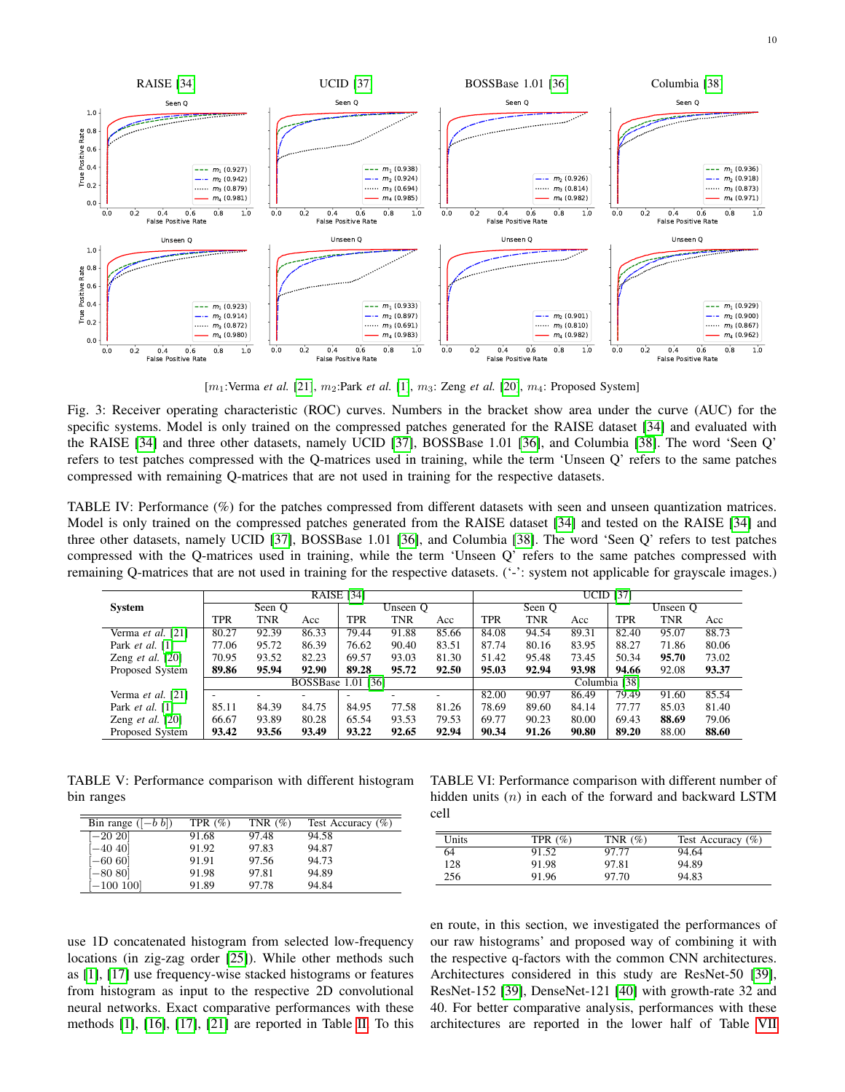<span id="page-9-0"></span>

[m<sub>1</sub>:Verma *et al.* [\[21\]](#page-11-5), m<sub>2</sub>:Park *et al.* [\[1\]](#page-10-0), m<sub>3</sub>: Zeng *et al.* [\[20\]](#page-11-4), m<sub>4</sub>: Proposed System]

Fig. 3: Receiver operating characteristic (ROC) curves. Numbers in the bracket show area under the curve (AUC) for the specific systems. Model is only trained on the compressed patches generated for the RAISE dataset [\[34\]](#page-11-18) and evaluated with the RAISE [\[34\]](#page-11-18) and three other datasets, namely UCID [\[37\]](#page-11-21), BOSSBase 1.01 [\[36\]](#page-11-20), and Columbia [\[38\]](#page-12-0). The word 'Seen Q' refers to test patches compressed with the Q-matrices used in training, while the term 'Unseen Q' refers to the same patches compressed with remaining Q-matrices that are not used in training for the respective datasets.

<span id="page-9-1"></span>TABLE IV: Performance (%) for the patches compressed from different datasets with seen and unseen quantization matrices. Model is only trained on the compressed patches generated from the RAISE dataset [\[34\]](#page-11-18) and tested on the RAISE [\[34\]](#page-11-18) and three other datasets, namely UCID [\[37\]](#page-11-21), BOSSBase 1.01 [\[36\]](#page-11-20), and Columbia [\[38\]](#page-12-0). The word 'Seen Q' refers to test patches compressed with the Q-matrices used in training, while the term 'Unseen Q' refers to the same patches compressed with remaining Q-matrices that are not used in training for the respective datasets. ('-': system not applicable for grayscale images.)

|                           | <b>RAISE</b> [34] |            |                           |                          |       |       |               | <b>UCID</b> [37] |       |            |            |       |  |  |
|---------------------------|-------------------|------------|---------------------------|--------------------------|-------|-------|---------------|------------------|-------|------------|------------|-------|--|--|
| <b>System</b>             | Seen O            |            |                           | Unseen O                 |       |       | Seen Q        |                  |       | Unseen Q   |            |       |  |  |
|                           | TPR               | <b>TNR</b> | Acc                       | TPR                      | TNR   | Acc   | <b>TPR</b>    | <b>TNR</b>       | Acc   | <b>TPR</b> | <b>TNR</b> | Acc   |  |  |
| Verma et al. [21]         | 80.27             | 92.39      | 86.33                     | 79.44                    | 91.88 | 85.66 | 84.08         | 94.54            | 89.31 | 82.40      | 95.07      | 88.73 |  |  |
| Park $et$ al. [1]         | 77.06             | 95.72      | 86.39                     | 76.62                    | 90.40 | 83.51 | 87.74         | 80.16            | 83.95 | 88.27      | 71.86      | 80.06 |  |  |
| Zeng <i>et al.</i> $[20]$ | 70.95             | 93.52      | 82.23                     | 69.57                    | 93.03 | 81.30 | 51.42         | 95.48            | 73.45 | 50.34      | 95.70      | 73.02 |  |  |
| Proposed System           | 89.86             | 95.94      | 92.90                     | 89.28                    | 95.72 | 92.50 | 95.03         | 92.94            | 93.98 | 94.66      | 92.08      | 93.37 |  |  |
|                           |                   |            | <b>BOSSBase 1.01 [36]</b> |                          |       |       | Columbia [38] |                  |       |            |            |       |  |  |
| Verma et al. [21]         |                   |            | ۰                         | $\overline{\phantom{a}}$ |       | -     | 82.00         | 90.97            | 86.49 | 79.49      | 91.60      | 85.54 |  |  |
| Park $et$ al. [1]         | 85.11             | 84.39      | 84.75                     | 84.95                    | 77.58 | 81.26 | 78.69         | 89.60            | 84.14 | 77.77      | 85.03      | 81.40 |  |  |
| Zeng <i>et al.</i> $[20]$ | 66.67             | 93.89      | 80.28                     | 65.54                    | 93.53 | 79.53 | 69.77         | 90.23            | 80.00 | 69.43      | 88.69      | 79.06 |  |  |
| Proposed System           | 93.42             | 93.56      | 93.49                     | 93.22                    | 92.65 | 92.94 | 90.34         | 91.26            | 90.80 | 89.20      | 88.00      | 88.60 |  |  |

<span id="page-9-2"></span>TABLE V: Performance comparison with different histogram bin ranges

| Bin range $([-b b])$ | TPR $(\% )$ | TNR $(\% )$ | Test Accuracy $(\%)$ |
|----------------------|-------------|-------------|----------------------|
| $[-20 20]$           | 91.68       | 97.48       | 94.58                |
| $-40$ 40             | 91.92       | 97.83       | 94.87                |
| $-6060$              | 91.91       | 97.56       | 94.73                |
| $-8080$              | 91.98       | 97.81       | 94.89                |
| $-100100$            | 91.89       | 97.78       | 94.84                |

<span id="page-9-3"></span>TABLE VI: Performance comparison with different number of hidden units  $(n)$  in each of the forward and backward LSTM cell

| Units | TPR $(\% )$ | TNR $(\% )$ | Test Accuracy $(\% )$ |
|-------|-------------|-------------|-----------------------|
| 64    | 91.52       | 97.77       | 94.64                 |
| 128   | 91.98       | 97.81       | 94.89                 |
| 256   | 91.96       | 97.70       | 94.83                 |

use 1D concatenated histogram from selected low-frequency locations (in zig-zag order [\[25\]](#page-11-9)). While other methods such as [\[1\]](#page-10-0), [\[17\]](#page-11-1) use frequency-wise stacked histograms or features from histogram as input to the respective 2D convolutional neural networks. Exact comparative performances with these methods [\[1\]](#page-10-0), [\[16\]](#page-11-0), [\[17\]](#page-11-1), [\[21\]](#page-11-5) are reported in Table [II.](#page-7-3) To this en route, in this section, we investigated the performances of our raw histograms' and proposed way of combining it with the respective q-factors with the common CNN architectures. Architectures considered in this study are ResNet-50 [\[39\]](#page-12-1), ResNet-152 [\[39\]](#page-12-1), DenseNet-121 [\[40\]](#page-12-2) with growth-rate 32 and 40. For better comparative analysis, performances with these architectures are reported in the lower half of Table [VII](#page-11-22)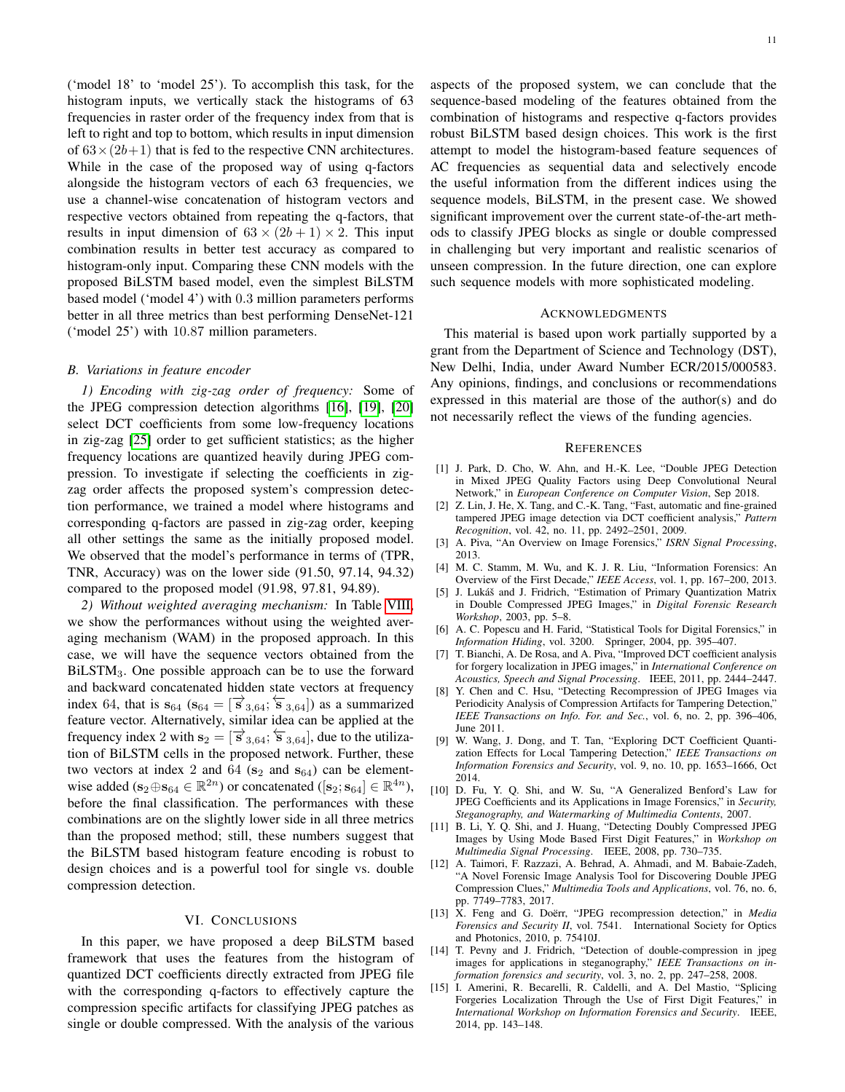('model 18' to 'model 25'). To accomplish this task, for the histogram inputs, we vertically stack the histograms of 63 frequencies in raster order of the frequency index from that is left to right and top to bottom, which results in input dimension of  $63 \times (2b+1)$  that is fed to the respective CNN architectures. While in the case of the proposed way of using q-factors alongside the histogram vectors of each 63 frequencies, we use a channel-wise concatenation of histogram vectors and respective vectors obtained from repeating the q-factors, that results in input dimension of  $63 \times (2b+1) \times 2$ . This input combination results in better test accuracy as compared to histogram-only input. Comparing these CNN models with the proposed BiLSTM based model, even the simplest BiLSTM based model ('model 4') with 0.3 million parameters performs better in all three metrics than best performing DenseNet-121 ('model 25') with 10.87 million parameters.

## *B. Variations in feature encoder*

*1) Encoding with zig-zag order of frequency:* Some of the JPEG compression detection algorithms [\[16\]](#page-11-0), [\[19\]](#page-11-3), [\[20\]](#page-11-4) select DCT coefficients from some low-frequency locations in zig-zag [\[25\]](#page-11-9) order to get sufficient statistics; as the higher frequency locations are quantized heavily during JPEG compression. To investigate if selecting the coefficients in zigzag order affects the proposed system's compression detection performance, we trained a model where histograms and corresponding q-factors are passed in zig-zag order, keeping all other settings the same as the initially proposed model. We observed that the model's performance in terms of (TPR, TNR, Accuracy) was on the lower side (91.50, 97.14, 94.32) compared to the proposed model (91.98, 97.81, 94.89).

*2) Without weighted averaging mechanism:* In Table [VIII,](#page-11-23) we show the performances without using the weighted averaging mechanism (WAM) in the proposed approach. In this case, we will have the sequence vectors obtained from the BiLSTM3. One possible approach can be to use the forward and backward concatenated hidden state vectors at frequency index 64, that is  $s_{64}$  ( $s_{64} = [\overrightarrow{s}_{3,64}; \overleftarrow{s}_{3,64}]$ ) as a summarized feature vector. Alternatively, similar idea can be applied at the frequency index 2 with  $s_2 = [\vec{s}_{3,64}; \vec{s}_{3,64}]$ , due to the utilization of BiLSTM cells in the proposed network. Further, these two vectors at index 2 and 64 ( $s_2$  and  $s_{64}$ ) can be elementwise added ( $\mathbf{s}_2 \oplus \mathbf{s}_{64} \in \mathbb{R}^{2n}$ ) or concatenated ( $[\mathbf{s}_2; \mathbf{s}_{64}] \in \mathbb{R}^{4n}$ ), before the final classification. The performances with these combinations are on the slightly lower side in all three metrics than the proposed method; still, these numbers suggest that the BiLSTM based histogram feature encoding is robust to design choices and is a powerful tool for single vs. double compression detection.

## VI. CONCLUSIONS

In this paper, we have proposed a deep BiLSTM based framework that uses the features from the histogram of quantized DCT coefficients directly extracted from JPEG file with the corresponding q-factors to effectively capture the compression specific artifacts for classifying JPEG patches as single or double compressed. With the analysis of the various

aspects of the proposed system, we can conclude that the sequence-based modeling of the features obtained from the combination of histograms and respective q-factors provides robust BiLSTM based design choices. This work is the first attempt to model the histogram-based feature sequences of AC frequencies as sequential data and selectively encode the useful information from the different indices using the sequence models, BiLSTM, in the present case. We showed significant improvement over the current state-of-the-art methods to classify JPEG blocks as single or double compressed in challenging but very important and realistic scenarios of unseen compression. In the future direction, one can explore such sequence models with more sophisticated modeling.

# ACKNOWLEDGMENTS

This material is based upon work partially supported by a grant from the Department of Science and Technology (DST), New Delhi, India, under Award Number ECR/2015/000583. Any opinions, findings, and conclusions or recommendations expressed in this material are those of the author(s) and do not necessarily reflect the views of the funding agencies.

#### **REFERENCES**

- <span id="page-10-0"></span>[1] J. Park, D. Cho, W. Ahn, and H.-K. Lee, "Double JPEG Detection in Mixed JPEG Quality Factors using Deep Convolutional Neural Network," in *European Conference on Computer Vision*, Sep 2018.
- <span id="page-10-1"></span>[2] Z. Lin, J. He, X. Tang, and C.-K. Tang, "Fast, automatic and fine-grained tampered JPEG image detection via DCT coefficient analysis," *Pattern Recognition*, vol. 42, no. 11, pp. 2492–2501, 2009.
- <span id="page-10-2"></span>[3] A. Piva, "An Overview on Image Forensics," *ISRN Signal Processing*, 2013.
- <span id="page-10-3"></span>[4] M. C. Stamm, M. Wu, and K. J. R. Liu, "Information Forensics: An Overview of the First Decade," *IEEE Access*, vol. 1, pp. 167–200, 2013.
- <span id="page-10-4"></span>[5] J. Lukáš and J. Fridrich, "Estimation of Primary Quantization Matrix in Double Compressed JPEG Images," in *Digital Forensic Research Workshop*, 2003, pp. 5–8.
- <span id="page-10-5"></span>[6] A. C. Popescu and H. Farid, "Statistical Tools for Digital Forensics," in *Information Hiding*, vol. 3200. Springer, 2004, pp. 395–407.
- <span id="page-10-6"></span>[7] T. Bianchi, A. De Rosa, and A. Piva, "Improved DCT coefficient analysis for forgery localization in JPEG images," in *International Conference on Acoustics, Speech and Signal Processing*. IEEE, 2011, pp. 2444–2447.
- <span id="page-10-7"></span>[8] Y. Chen and C. Hsu, "Detecting Recompression of JPEG Images via Periodicity Analysis of Compression Artifacts for Tampering Detection," *IEEE Transactions on Info. For. and Sec.*, vol. 6, no. 2, pp. 396–406, June 2011.
- <span id="page-10-8"></span>[9] W. Wang, J. Dong, and T. Tan, "Exploring DCT Coefficient Quantization Effects for Local Tampering Detection," *IEEE Transactions on Information Forensics and Security*, vol. 9, no. 10, pp. 1653–1666, Oct 2014.
- <span id="page-10-9"></span>[10] D. Fu, Y. Q. Shi, and W. Su, "A Generalized Benford's Law for JPEG Coefficients and its Applications in Image Forensics," in *Security, Steganography, and Watermarking of Multimedia Contents*, 2007.
- <span id="page-10-14"></span>[11] B. Li, Y. Q. Shi, and J. Huang, "Detecting Doubly Compressed JPEG Images by Using Mode Based First Digit Features," in *Workshop on Multimedia Signal Processing*. IEEE, 2008, pp. 730–735.
- <span id="page-10-10"></span>[12] A. Taimori, F. Razzazi, A. Behrad, A. Ahmadi, and M. Babaie-Zadeh, "A Novel Forensic Image Analysis Tool for Discovering Double JPEG Compression Clues," *Multimedia Tools and Applications*, vol. 76, no. 6, pp. 7749–7783, 2017.
- <span id="page-10-11"></span>[13] X. Feng and G. Doërr, "JPEG recompression detection," in *Media Forensics and Security II*, vol. 7541. International Society for Optics and Photonics, 2010, p. 75410J.
- <span id="page-10-13"></span>[14] T. Pevny and J. Fridrich, "Detection of double-compression in jpeg images for applications in steganography," *IEEE Transactions on information forensics and security*, vol. 3, no. 2, pp. 247–258, 2008.
- <span id="page-10-12"></span>[15] I. Amerini, R. Becarelli, R. Caldelli, and A. Del Mastio, "Splicing Forgeries Localization Through the Use of First Digit Features," in *International Workshop on Information Forensics and Security*. IEEE, 2014, pp. 143–148.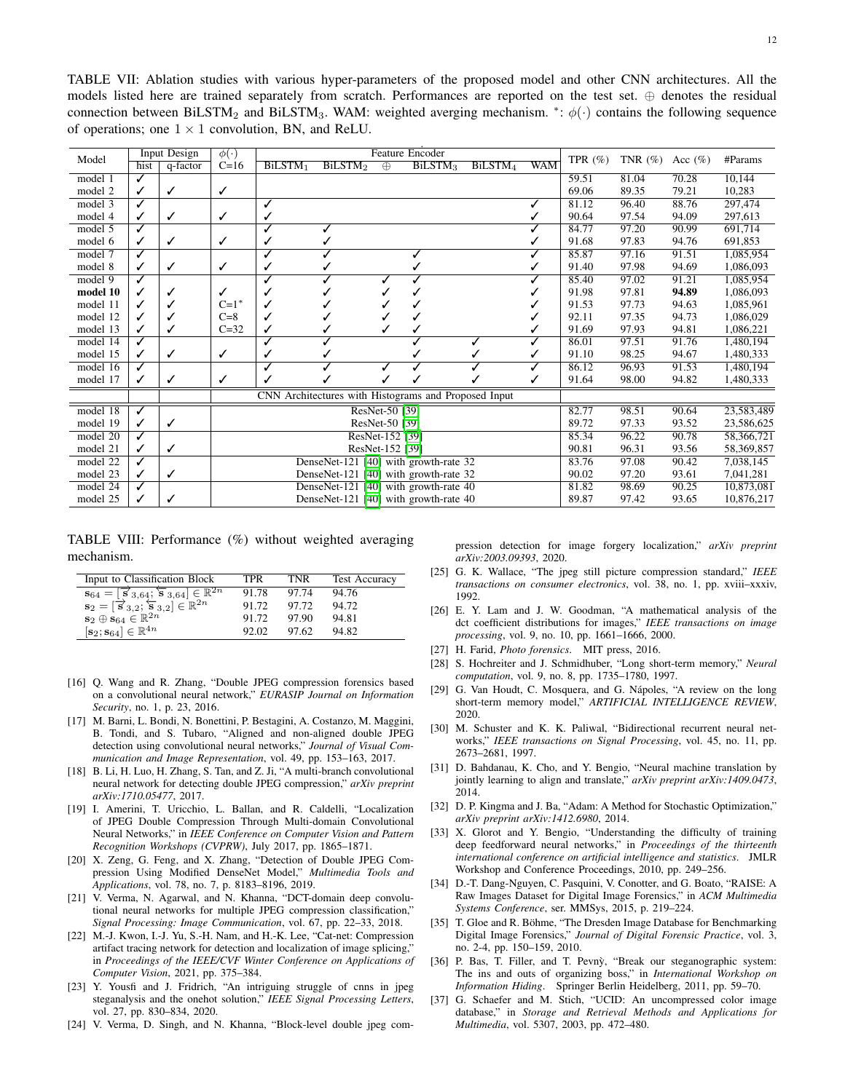<span id="page-11-22"></span>TABLE VII: Ablation studies with various hyper-parameters of the proposed model and other CNN architectures. All the models listed here are trained separately from scratch. Performances are reported on the test set. ⊕ denotes the residual connection between BiLSTM<sub>2</sub> and BiLSTM<sub>3</sub>. WAM: weighted averging mechanism. \*:  $\phi(\cdot)$  contains the following sequence of operations; one  $1 \times 1$  convolution, BN, and ReLU.

|          |              | Input Design | $\phi(\cdot)$      |                                       |                                                      |                 | <b>Feature Encoder</b> |                     |                     |            |             |             |             |            |
|----------|--------------|--------------|--------------------|---------------------------------------|------------------------------------------------------|-----------------|------------------------|---------------------|---------------------|------------|-------------|-------------|-------------|------------|
| Model    | hist         | q-factor     | $C=16$             | BiLSTM <sub>1</sub>                   | BiLSTM <sub>2</sub>                                  | $\oplus$        |                        | BiLSTM <sub>3</sub> | BiLSTM <sub>4</sub> | <b>WAM</b> | TPR $(\% )$ | TNR $(\% )$ | Acc $(\% )$ | #Params    |
| model 1  | ✓            |              |                    |                                       |                                                      |                 |                        |                     |                     |            | 59.51       | 81.04       | 70.28       | 10,144     |
| model 2  | $\checkmark$ | ✓            | ✓                  |                                       |                                                      |                 |                        |                     |                     |            | 69.06       | 89.35       | 79.21       | 10,283     |
| model 3  | ✓            |              |                    | $\checkmark$                          |                                                      |                 |                        |                     |                     |            | 81.12       | 96.40       | 88.76       | 297,474    |
| model 4  | $\checkmark$ | ✓            | ✓                  | ✓                                     |                                                      |                 |                        |                     |                     |            | 90.64       | 97.54       | 94.09       | 297,613    |
| model 5  | ✓            |              |                    | ✓                                     |                                                      |                 |                        |                     |                     |            | 84.77       | 97.20       | 90.99       | 691.714    |
| model 6  | ✓            | ✓            | ✓                  | ✓                                     |                                                      |                 |                        |                     |                     |            | 91.68       | 97.83       | 94.76       | 691,853    |
| model 7  | ✓            |              |                    | ℐ                                     |                                                      |                 |                        |                     |                     |            | 85.87       | 97.16       | 91.51       | 1,085,954  |
| model 8  | ✓            | $\checkmark$ | ✓                  | $\checkmark$                          |                                                      |                 |                        |                     |                     |            | 91.40       | 97.98       | 94.69       | 1,086,093  |
| model 9  | ✓            |              |                    | ✓                                     |                                                      |                 |                        |                     |                     |            | 85.40       | 97.02       | 91.21       | 1,085,954  |
| model 10 |              | ✓            | ✓                  |                                       |                                                      |                 |                        |                     |                     |            | 91.98       | 97.81       | 94.89       | 1,086,093  |
| model 11 |              | ✓            | $C=1$ <sup>*</sup> |                                       |                                                      |                 |                        |                     |                     |            | 91.53       | 97.73       | 94.63       | 1,085,961  |
| model 12 |              | √            | $C=8$              |                                       |                                                      |                 |                        |                     |                     |            | 92.11       | 97.35       | 94.73       | 1,086,029  |
| model 13 | ✓            | ✓            | $C=32$             | ✓                                     |                                                      |                 |                        |                     |                     |            | 91.69       | 97.93       | 94.81       | 1,086,221  |
| model 14 | ✓            |              |                    | ✓                                     |                                                      |                 |                        |                     |                     |            | 86.01       | 97.51       | 91.76       | 1,480,194  |
| model 15 | ✓            | ✓            | ✓                  | ✓                                     |                                                      |                 |                        |                     |                     |            | 91.10       | 98.25       | 94.67       | 1,480,333  |
| model 16 | ✓            |              |                    | ✓                                     |                                                      |                 |                        |                     |                     |            | 86.12       | 96.93       | 91.53       | 1,480,194  |
| model 17 | ✓            | ✓            | ✓                  | ✓                                     |                                                      |                 |                        |                     |                     |            | 91.64       | 98.00       | 94.82       | 1,480,333  |
|          |              |              |                    |                                       | CNN Architectures with Histograms and Proposed Input |                 |                        |                     |                     |            |             |             |             |            |
| model 18 | ✓            |              |                    |                                       | ResNet-50 [39]                                       |                 |                        |                     |                     |            | 82.77       | 98.51       | 90.64       | 23,583,489 |
| model 19 | ✓            | ✓            |                    |                                       |                                                      | ResNet-50 [39]  |                        |                     |                     |            | 89.72       | 97.33       | 93.52       | 23,586,625 |
| model 20 | ✓            |              |                    |                                       |                                                      | ResNet-152 [39] |                        |                     |                     |            | 85.34       | 96.22       | 90.78       | 58,366,721 |
| model 21 | ✓            | ✓            |                    |                                       | ResNet-152 [39]                                      |                 |                        |                     |                     |            |             | 96.31       | 93.56       | 58,369,857 |
| model 22 | ✓            |              |                    | DenseNet-121 [40] with growth-rate 32 |                                                      |                 |                        |                     |                     | 83.76      | 97.08       | 90.42       | 7,038,145   |            |
| model 23 | ✓            | ✓            |                    | DenseNet-121 [40] with growth-rate 32 |                                                      |                 |                        |                     |                     |            | 90.02       | 97.20       | 93.61       | 7,041,281  |
| model 24 |              |              |                    |                                       | DenseNet-121 [40] with growth-rate 40                |                 |                        |                     |                     |            | 81.82       | 98.69       | 90.25       | 10.873.081 |
| model 25 | ✓            |              |                    |                                       | DenseNet-121 [40] with growth-rate 40                |                 |                        |                     |                     |            | 89.87       | 97.42       | 93.65       | 10,876,217 |

<span id="page-11-23"></span>TABLE VIII: Performance (%) without weighted averaging mechanism.

| Input to Classification Block                                                                              | TPR   | TNR   | <b>Test Accuracy</b> |
|------------------------------------------------------------------------------------------------------------|-------|-------|----------------------|
| $\mathbf{s}_{64} = [\overline{\mathbf{s}}_{3,64}; \overline{\mathbf{s}}_{3,64}] \in \mathbb{R}^{2n}$       | 91.78 | 97.74 | 94.76                |
| $\mathbf{s}_2 = [\overrightarrow{\mathbf{s}}_{3,2}; \overleftarrow{\mathbf{s}}_{3,2}] \in \mathbb{R}^{2n}$ | 91.72 | 97.72 | 94.72                |
| $\mathbf{s}_2 \oplus \mathbf{s}_{64} \in \mathbb{R}^{2n}$                                                  | 91.72 | 97.90 | 94.81                |
| $[\mathbf{s}_2; \mathbf{s}_{64}]\in \mathbb{R}^{4n}$                                                       | 92.02 | 97.62 | 94.82                |

- <span id="page-11-0"></span>[16] Q. Wang and R. Zhang, "Double JPEG compression forensics based on a convolutional neural network," *EURASIP Journal on Information Security*, no. 1, p. 23, 2016.
- <span id="page-11-1"></span>[17] M. Barni, L. Bondi, N. Bonettini, P. Bestagini, A. Costanzo, M. Maggini, B. Tondi, and S. Tubaro, "Aligned and non-aligned double JPEG detection using convolutional neural networks," *Journal of Visual Communication and Image Representation*, vol. 49, pp. 153–163, 2017.
- <span id="page-11-2"></span>[18] B. Li, H. Luo, H. Zhang, S. Tan, and Z. Ji, "A multi-branch convolutional neural network for detecting double JPEG compression," *arXiv preprint arXiv:1710.05477*, 2017.
- <span id="page-11-3"></span>[19] I. Amerini, T. Uricchio, L. Ballan, and R. Caldelli, "Localization of JPEG Double Compression Through Multi-domain Convolutional Neural Networks," in *IEEE Conference on Computer Vision and Pattern Recognition Workshops (CVPRW)*, July 2017, pp. 1865–1871.
- <span id="page-11-4"></span>[20] X. Zeng, G. Feng, and X. Zhang, "Detection of Double JPEG Compression Using Modified DenseNet Model," *Multimedia Tools and Applications*, vol. 78, no. 7, p. 8183–8196, 2019.
- <span id="page-11-5"></span>[21] V. Verma, N. Agarwal, and N. Khanna, "DCT-domain deep convolutional neural networks for multiple JPEG compression classification," *Signal Processing: Image Communication*, vol. 67, pp. 22–33, 2018.
- <span id="page-11-6"></span>[22] M.-J. Kwon, I.-J. Yu, S.-H. Nam, and H.-K. Lee, "Cat-net: Compression artifact tracing network for detection and localization of image splicing," in *Proceedings of the IEEE/CVF Winter Conference on Applications of Computer Vision*, 2021, pp. 375–384.
- <span id="page-11-7"></span>[23] Y. Yousfi and J. Fridrich, "An intriguing struggle of cnns in jpeg steganalysis and the onehot solution," *IEEE Signal Processing Letters*, vol. 27, pp. 830–834, 2020.
- <span id="page-11-8"></span>[24] V. Verma, D. Singh, and N. Khanna, "Block-level double jpeg com-

pression detection for image forgery localization," *arXiv preprint arXiv:2003.09393*, 2020.

- <span id="page-11-9"></span>[25] G. K. Wallace, "The jpeg still picture compression standard," *IEEE transactions on consumer electronics*, vol. 38, no. 1, pp. xviii–xxxiv, 1992.
- <span id="page-11-10"></span>[26] E. Y. Lam and J. W. Goodman, "A mathematical analysis of the dct coefficient distributions for images," *IEEE transactions on image processing*, vol. 9, no. 10, pp. 1661–1666, 2000.
- <span id="page-11-11"></span>[27] H. Farid, *Photo forensics*. MIT press, 2016.
- <span id="page-11-12"></span>[28] S. Hochreiter and J. Schmidhuber, "Long short-term memory," *Neural computation*, vol. 9, no. 8, pp. 1735–1780, 1997.
- <span id="page-11-13"></span>[29] G. Van Houdt, C. Mosquera, and G. Nápoles, "A review on the long short-term memory model," *ARTIFICIAL INTELLIGENCE REVIEW*, 2020.
- <span id="page-11-14"></span>[30] M. Schuster and K. K. Paliwal, "Bidirectional recurrent neural networks," *IEEE transactions on Signal Processing*, vol. 45, no. 11, pp. 2673–2681, 1997.
- <span id="page-11-15"></span>[31] D. Bahdanau, K. Cho, and Y. Bengio, "Neural machine translation by jointly learning to align and translate," *arXiv preprint arXiv:1409.0473*, 2014.
- <span id="page-11-16"></span>[32] D. P. Kingma and J. Ba, "Adam: A Method for Stochastic Optimization," *arXiv preprint arXiv:1412.6980*, 2014.
- <span id="page-11-17"></span>[33] X. Glorot and Y. Bengio, "Understanding the difficulty of training deep feedforward neural networks," in *Proceedings of the thirteenth international conference on artificial intelligence and statistics*. JMLR Workshop and Conference Proceedings, 2010, pp. 249–256.
- <span id="page-11-18"></span>[34] D.-T. Dang-Nguyen, C. Pasquini, V. Conotter, and G. Boato, "RAISE: A Raw Images Dataset for Digital Image Forensics," in *ACM Multimedia Systems Conference*, ser. MMSys, 2015, p. 219–224.
- <span id="page-11-19"></span>[35] T. Gloe and R. Böhme, "The Dresden Image Database for Benchmarking Digital Image Forensics," *Journal of Digital Forensic Practice*, vol. 3, no. 2-4, pp. 150–159, 2010.
- <span id="page-11-20"></span>[36] P. Bas, T. Filler, and T. Pevny, "Break our steganographic system: The ins and outs of organizing boss," in *International Workshop on Information Hiding*. Springer Berlin Heidelberg, 2011, pp. 59–70.
- <span id="page-11-21"></span>[37] G. Schaefer and M. Stich, "UCID: An uncompressed color image database," in *Storage and Retrieval Methods and Applications for Multimedia*, vol. 5307, 2003, pp. 472–480.